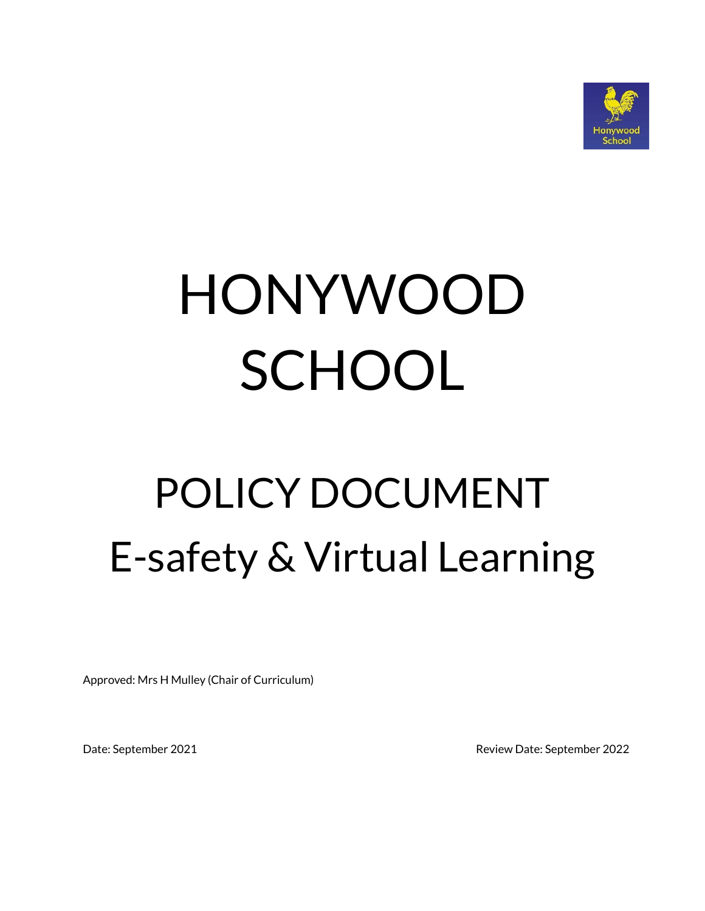

# HONYWOOD **SCHOOL**

## POLICY DOCUMENT E-safety & Virtual Learning

Approved: Mrs H Mulley (Chair of Curriculum)

Date: September 2021 Review Date: September 2022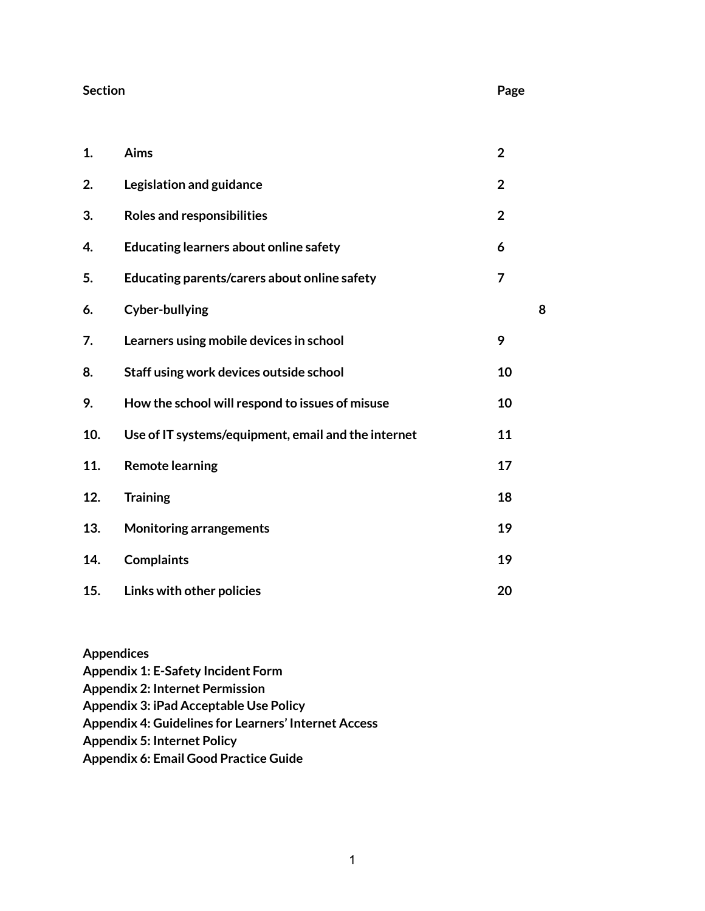#### **Section Page**

| 1.  | Aims                                                | $\overline{2}$ |   |
|-----|-----------------------------------------------------|----------------|---|
| 2.  | Legislation and guidance                            | $\overline{2}$ |   |
| 3.  | <b>Roles and responsibilities</b>                   | $\overline{2}$ |   |
| 4.  | <b>Educating learners about online safety</b>       | 6              |   |
| 5.  | Educating parents/carers about online safety        | $\overline{7}$ |   |
| 6.  | <b>Cyber-bullying</b>                               |                | 8 |
| 7.  | Learners using mobile devices in school             | 9              |   |
| 8.  | Staff using work devices outside school             | 10             |   |
| 9.  | How the school will respond to issues of misuse     | 10             |   |
| 10. | Use of IT systems/equipment, email and the internet | 11             |   |
| 11. | <b>Remote learning</b>                              | 17             |   |
| 12. | <b>Training</b>                                     | 18             |   |
| 13. | <b>Monitoring arrangements</b>                      | 19             |   |
| 14. | <b>Complaints</b>                                   | 19             |   |
| 15. | Links with other policies                           | 20             |   |

**Appendices Appendix 1: E-Safety Incident Form Appendix 2: Internet Permission Appendix 3: iPad Acceptable Use Policy Appendix 4: Guidelines for Learners' Internet Access Appendix 5: Internet Policy Appendix 6: Email Good Practice Guide**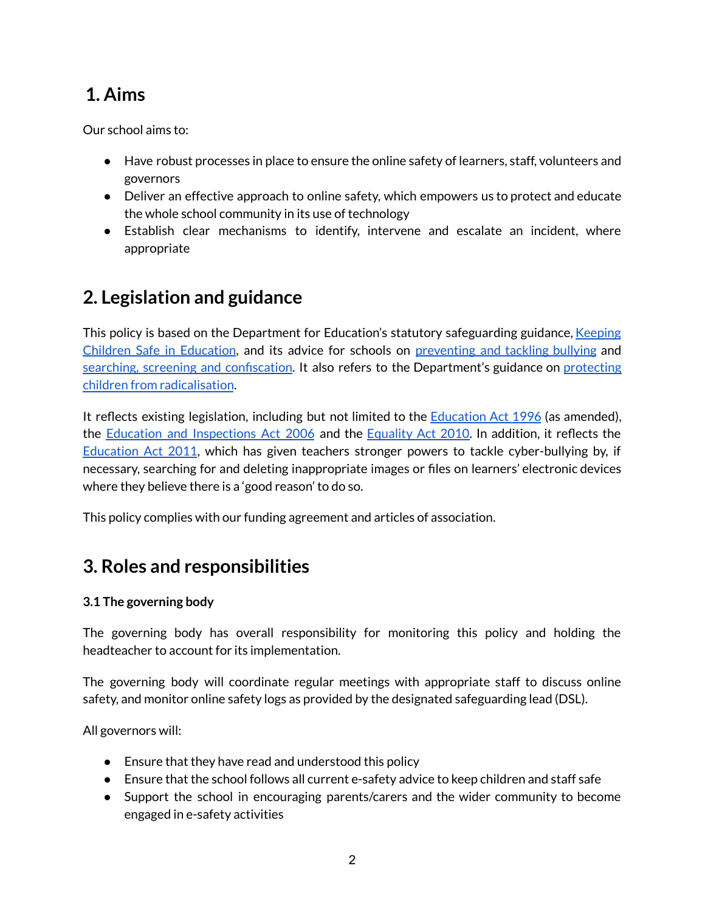## **1. Aims**

Our school aims to:

- Have robust processes in place to ensure the online safety of learners, staff, volunteers and governors
- Deliver an effective approach to online safety, which empowers us to protect and educate the whole school community in its use of technology
- Establish clear mechanisms to identify, intervene and escalate an incident, where appropriate

## **2. Legislation and guidance**

This policy is based on the Department for Education's statutory safeguarding guidance, [Keeping](https://www.gov.uk/government/publications/keeping-children-safe-in-education--2) Children Safe in [Education](https://www.gov.uk/government/publications/keeping-children-safe-in-education--2), and its advice for schools on [preventing](https://www.gov.uk/government/publications/preventing-and-tackling-bullying) and tackling bullying and searching, screening and [confiscation](https://www.gov.uk/government/publications/searching-screening-and-confiscation). It also refers to the Department's guidance on [protecting](https://www.gov.uk/government/publications/protecting-children-from-radicalisation-the-prevent-duty) children from [radicalisation](https://www.gov.uk/government/publications/protecting-children-from-radicalisation-the-prevent-duty).

It reflects existing legislation, including but not limited to the **[Education](https://www.legislation.gov.uk/ukpga/1996/56/contents) Act 1996** (as amended), the Education and [Inspections](https://www.legislation.gov.uk/ukpga/2006/40/contents) Act 2006 and the [Equality](https://www.legislation.gov.uk/ukpga/2010/15/contents) Act 2010. In addition, it reflects th[e](http://www.legislation.gov.uk/ukpga/2011/21/contents/enacted) [Education](http://www.legislation.gov.uk/ukpga/2011/21/contents/enacted) Act 2011, which has given teachers stronger powers to tackle cyber-bullying by, if necessary, searching for and deleting inappropriate images or files on learners' electronic devices where they believe there is a 'good reason' to do so.

This policy complies with our funding agreement and articles of association.

## **3. Roles and responsibilities**

#### **3.1 The governing body**

The governing body has overall responsibility for monitoring this policy and holding the headteacher to account for its implementation.

The governing body will coordinate regular meetings with appropriate staff to discuss online safety, and monitor online safety logs as provided by the designated safeguarding lead (DSL).

All governors will:

- Ensure that they have read and understood this policy
- Ensure that the school follows all current e-safety advice to keep children and staff safe
- Support the school in encouraging parents/carers and the wider community to become engaged in e-safety activities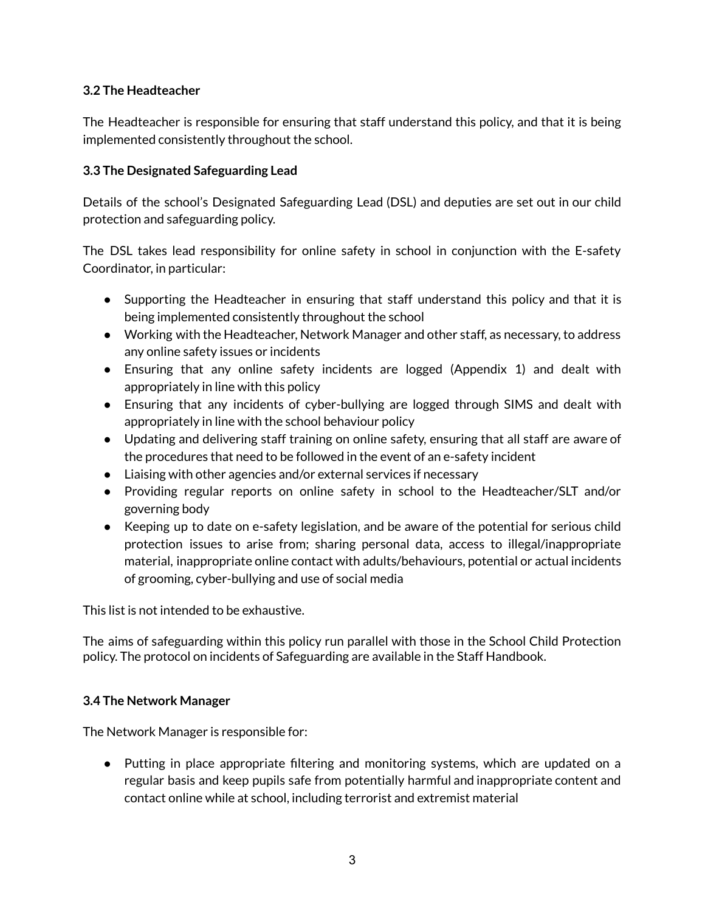#### **3.2 The Headteacher**

The Headteacher is responsible for ensuring that staff understand this policy, and that it is being implemented consistently throughout the school.

#### **3.3 The Designated Safeguarding Lead**

Details of the school's Designated Safeguarding Lead (DSL) and deputies are set out in our child protection and safeguarding policy.

The DSL takes lead responsibility for online safety in school in conjunction with the E-safety Coordinator, in particular:

- Supporting the Headteacher in ensuring that staff understand this policy and that it is being implemented consistently throughout the school
- Working with the Headteacher, Network Manager and other staff, as necessary, to address any online safety issues or incidents
- Ensuring that any online safety incidents are logged (Appendix 1) and dealt with appropriately in line with this policy
- Ensuring that any incidents of cyber-bullying are logged through SIMS and dealt with appropriately in line with the school behaviour policy
- Updating and delivering staff training on online safety, ensuring that all staff are aware of the procedures that need to be followed in the event of an e-safety incident
- Liaising with other agencies and/or external services if necessary
- Providing regular reports on online safety in school to the Headteacher/SLT and/or governing body
- Keeping up to date on e-safety legislation, and be aware of the potential for serious child protection issues to arise from; sharing personal data, access to illegal/inappropriate material, inappropriate online contact with adults/behaviours, potential or actual incidents of grooming, cyber-bullying and use of social media

This list is not intended to be exhaustive.

The aims of safeguarding within this policy run parallel with those in the School Child Protection policy. The protocol on incidents of Safeguarding are available in the Staff Handbook.

#### **3.4 The Network Manager**

The Network Manager is responsible for:

● Putting in place appropriate filtering and monitoring systems, which are updated on a regular basis and keep pupils safe from potentially harmful and inappropriate content and contact online while at school, including terrorist and extremist material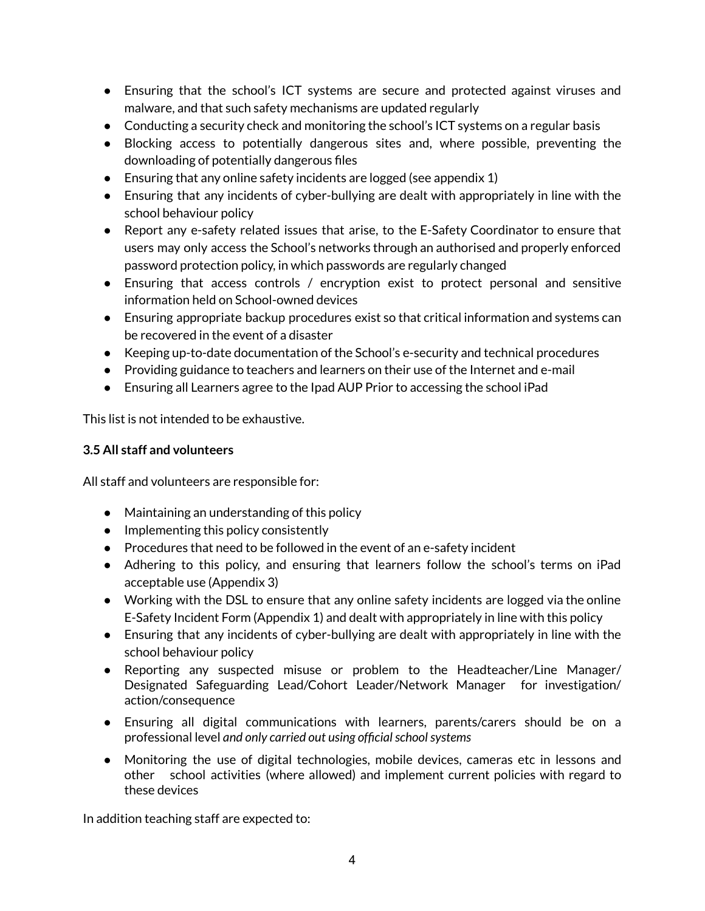- Ensuring that the school's ICT systems are secure and protected against viruses and malware, and that such safety mechanisms are updated regularly
- Conducting a security check and monitoring the school's ICT systems on a regular basis
- Blocking access to potentially dangerous sites and, where possible, preventing the downloading of potentially dangerous files
- Ensuring that any online safety incidents are logged (see appendix 1)
- Ensuring that any incidents of cyber-bullying are dealt with appropriately in line with the school behaviour policy
- Report any e-safety related issues that arise, to the E-Safety Coordinator to ensure that users may only access the School's networks through an authorised and properly enforced password protection policy, in which passwords are regularly changed
- Ensuring that access controls / encryption exist to protect personal and sensitive information held on School-owned devices
- Ensuring appropriate backup procedures exist so that critical information and systems can be recovered in the event of a disaster
- Keeping up-to-date documentation of the School's e-security and technical procedures
- Providing guidance to teachers and learners on their use of the Internet and e-mail
- Ensuring all Learners agree to the Ipad AUP Prior to accessing the school iPad

This list is not intended to be exhaustive.

#### **3.5 All staff and volunteers**

All staff and volunteers are responsible for:

- Maintaining an understanding of this policy
- Implementing this policy consistently
- Procedures that need to be followed in the event of an e-safety incident
- Adhering to this policy, and ensuring that learners follow the school's terms on iPad acceptable use (Appendix 3)
- Working with the DSL to ensure that any online safety incidents are logged via the online E-Safety Incident Form (Appendix 1) and dealt with appropriately in line with this policy
- Ensuring that any incidents of cyber-bullying are dealt with appropriately in line with the school behaviour policy
- Reporting any suspected misuse or problem to the Headteacher/Line Manager/ Designated Safeguarding Lead/Cohort Leader/Network Manager for investigation/ action/consequence
- Ensuring all digital communications with learners, parents/carers should be on a professional level *and only carried out using officialschoolsystems*
- Monitoring the use of digital technologies, mobile devices, cameras etc in lessons and other school activities (where allowed) and implement current policies with regard to these devices

In addition teaching staff are expected to: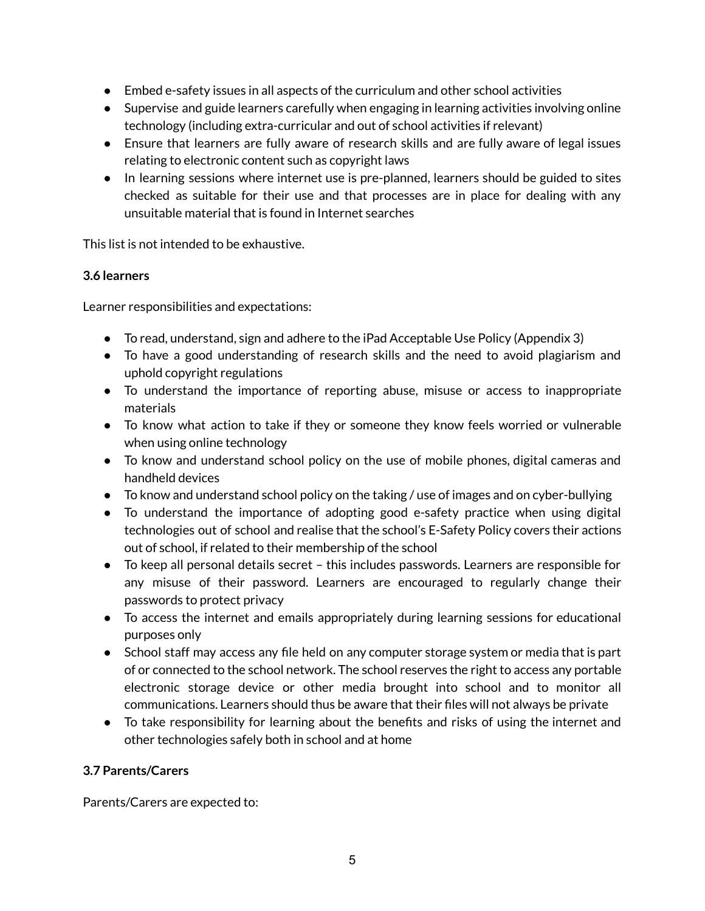- $\bullet$  Embed e-safety issues in all aspects of the curriculum and other school activities
- Supervise and guide learners carefully when engaging in learning activities involving online technology (including extra-curricular and out of school activities if relevant)
- Ensure that learners are fully aware of research skills and are fully aware of legal issues relating to electronic content such as copyright laws
- In learning sessions where internet use is pre-planned, learners should be guided to sites checked as suitable for their use and that processes are in place for dealing with any unsuitable material that is found in Internet searches

This list is not intended to be exhaustive.

#### **3.6 learners**

Learner responsibilities and expectations:

- To read, understand, sign and adhere to the iPad Acceptable Use Policy (Appendix 3)
- To have a good understanding of research skills and the need to avoid plagiarism and uphold copyright regulations
- To understand the importance of reporting abuse, misuse or access to inappropriate materials
- To know what action to take if they or someone they know feels worried or vulnerable when using online technology
- To know and understand school policy on the use of mobile phones, digital cameras and handheld devices
- To know and understand school policy on the taking / use of images and on cyber-bullying
- To understand the importance of adopting good e-safety practice when using digital technologies out of school and realise that the school's E-Safety Policy covers their actions out of school, if related to their membership of the school
- To keep all personal details secret this includes passwords. Learners are responsible for any misuse of their password. Learners are encouraged to regularly change their passwords to protect privacy
- To access the internet and emails appropriately during learning sessions for educational purposes only
- School staff may access any file held on any computer storage system or media that is part of or connected to the school network. The school reserves the right to access any portable electronic storage device or other media brought into school and to monitor all communications. Learners should thus be aware that their files will not always be private
- To take responsibility for learning about the benefits and risks of using the internet and other technologies safely both in school and at home

#### **3.7 Parents/Carers**

Parents/Carers are expected to: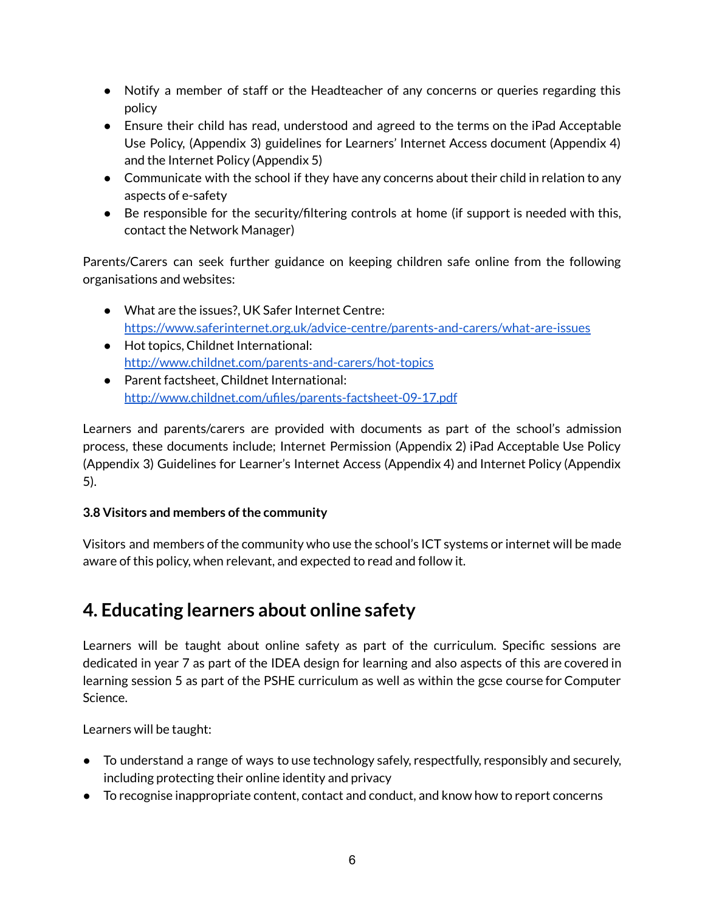- Notify a member of staff or the Headteacher of any concerns or queries regarding this policy
- Ensure their child has read, understood and agreed to the terms on the iPad Acceptable Use Policy, (Appendix 3) guidelines for Learners' Internet Access document (Appendix 4) and the Internet Policy (Appendix 5)
- Communicate with the school if they have any concerns about their child in relation to any aspects of e-safety
- Be responsible for the security/filtering controls at home (if support is needed with this, contact the Network Manager)

Parents/Carers can seek further guidance on keeping children safe online from the following organisations and websites:

- What are the issues?, UK Safer Internet Centre[:](https://www.saferinternet.org.uk/advice-centre/parents-and-carers/what-are-issues) <https://www.saferinternet.org.uk/advice-centre/parents-and-carers/what-are-issues>
- Hot topics, Childnet International[:](http://www.childnet.com/parents-and-carers/hot-topics) <http://www.childnet.com/parents-and-carers/hot-topics>
- Parent factsheet, Childnet International[:](http://www.childnet.com/ufiles/parents-factsheet-09-17.pdf) <http://www.childnet.com/ufiles/parents-factsheet-09-17.pdf>

Learners and parents/carers are provided with documents as part of the school's admission process, these documents include; Internet Permission (Appendix 2) iPad Acceptable Use Policy (Appendix 3) Guidelines for Learner's Internet Access (Appendix 4) and Internet Policy (Appendix 5).

#### **3.8 Visitors and members ofthe community**

Visitors and members of the community who use the school's ICT systems or internet will be made aware of this policy, when relevant, and expected to read and follow it.

## **4. Educating learners about online safety**

Learners will be taught about online safety as part of the curriculum. Specific sessions are dedicated in year 7 as part of the IDEA design for learning and also aspects of this are covered in learning session 5 as part of the PSHE curriculum as well as within the gcse course for Computer Science.

Learners will be taught:

- To understand a range of ways to use technology safely, respectfully, responsibly and securely, including protecting their online identity and privacy
- To recognise inappropriate content, contact and conduct, and know how to report concerns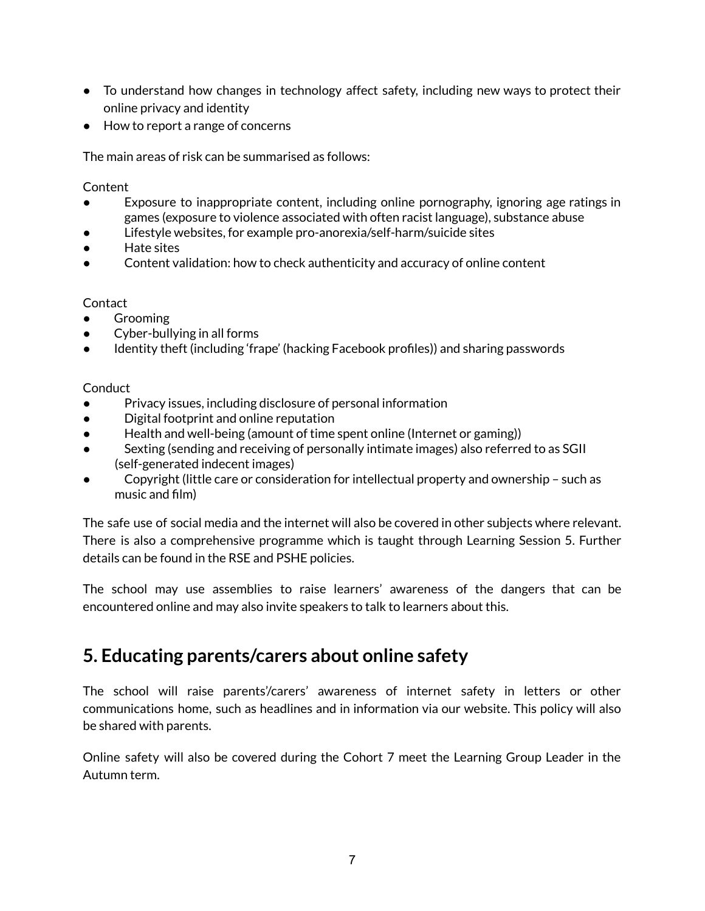- To understand how changes in technology affect safety, including new ways to protect their online privacy and identity
- How to report a range of concerns

The main areas of risk can be summarised as follows:

**Content** 

- Exposure to inappropriate content, including online pornography, ignoring age ratings in games (exposure to violence associated with often racist language), substance abuse
- Lifestyle websites, for example pro-anorexia/self-harm/suicide sites
- Hate sites
- Content validation: how to check authenticity and accuracy of online content

#### **Contact**

- **Grooming**
- Cyber-bullying in all forms
- Identity theft (including 'frape' (hacking Facebook profiles)) and sharing passwords

**Conduct** 

- Privacy issues, including disclosure of personal information
- Digital footprint and online reputation
- Health and well-being (amount of time spent online (Internet or gaming))
- Sexting (sending and receiving of personally intimate images) also referred to as SGII (self-generated indecent images)
- Copyright (little care or consideration for intellectual property and ownership such as music and film)

The safe use of social media and the internet will also be covered in other subjects where relevant. There is also a comprehensive programme which is taught through Learning Session 5. Further details can be found in the RSE and PSHE policies.

The school may use assemblies to raise learners' awareness of the dangers that can be encountered online and may also invite speakers to talk to learners about this.

## **5. Educating parents/carers about online safety**

The school will raise parents'/carers' awareness of internet safety in letters or other communications home, such as headlines and in information via our website. This policy will also be shared with parents.

Online safety will also be covered during the Cohort 7 meet the Learning Group Leader in the Autumn term.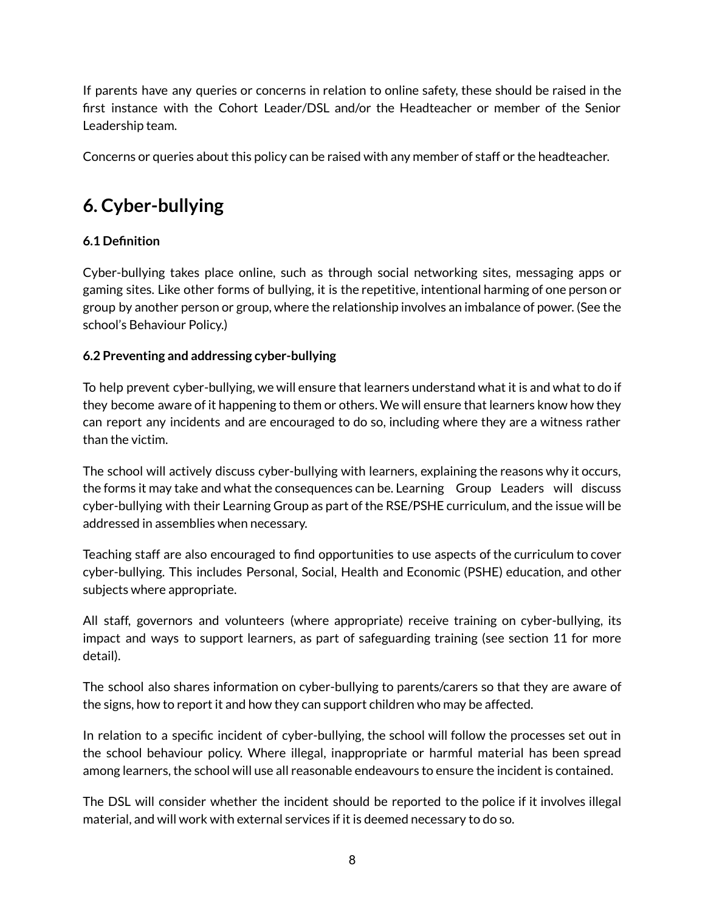If parents have any queries or concerns in relation to online safety, these should be raised in the first instance with the Cohort Leader/DSL and/or the Headteacher or member of the Senior Leadership team.

Concerns or queries about this policy can be raised with any member of staff or the headteacher.

## **6. Cyber-bullying**

#### **6.1 Definition**

Cyber-bullying takes place online, such as through social networking sites, messaging apps or gaming sites. Like other forms of bullying, it is the repetitive, intentional harming of one person or group by another person or group, where the relationship involves an imbalance of power. (See the school's Behaviour Policy.)

#### **6.2 Preventing and addressing cyber-bullying**

To help prevent cyber-bullying, we will ensure that learners understand what it is and what to do if they become aware of it happening to them or others. We will ensure that learners know how they can report any incidents and are encouraged to do so, including where they are a witness rather than the victim.

The school will actively discuss cyber-bullying with learners, explaining the reasons why it occurs, the forms it may take and what the consequences can be. Learning Group Leaders will discuss cyber-bullying with their Learning Group as part of the RSE/PSHE curriculum, and the issue will be addressed in assemblies when necessary.

Teaching staff are also encouraged to find opportunities to use aspects of the curriculum to cover cyber-bullying. This includes Personal, Social, Health and Economic (PSHE) education, and other subjects where appropriate.

All staff, governors and volunteers (where appropriate) receive training on cyber-bullying, its impact and ways to support learners, as part of safeguarding training (see section 11 for more detail).

The school also shares information on cyber-bullying to parents/carers so that they are aware of the signs, how to report it and how they can support children who may be affected.

In relation to a specific incident of cyber-bullying, the school will follow the processes set out in the school behaviour policy. Where illegal, inappropriate or harmful material has been spread among learners, the school will use all reasonable endeavours to ensure the incident is contained.

The DSL will consider whether the incident should be reported to the police if it involves illegal material, and will work with external services if it is deemed necessary to do so.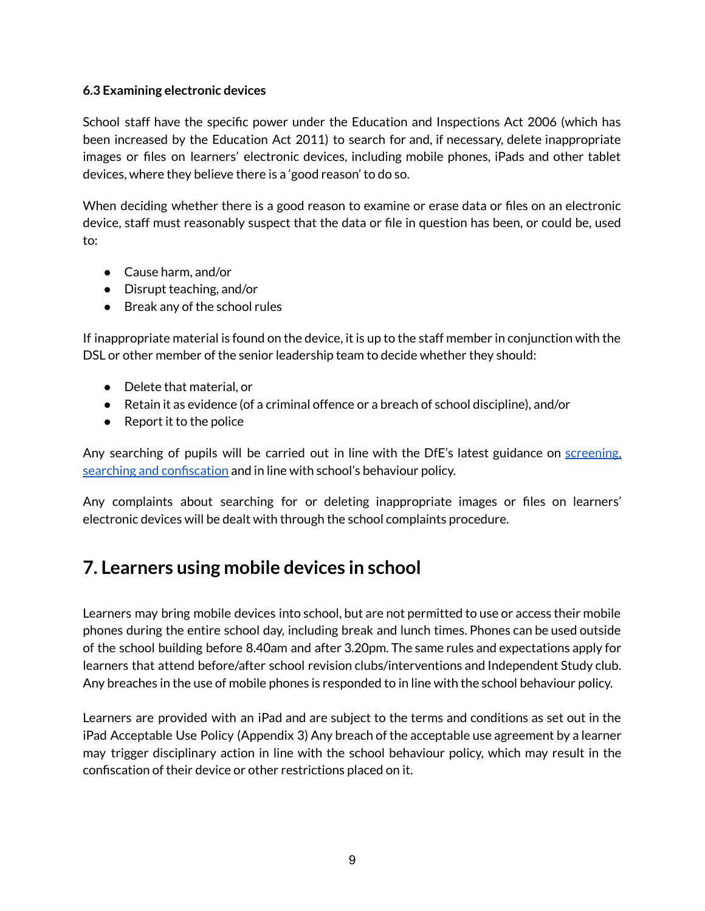#### **6.3 Examining electronic devices**

School staff have the specific power under the Education and Inspections Act 2006 (which has been increased by the Education Act 2011) to search for and, if necessary, delete inappropriate images or files on learners' electronic devices, including mobile phones, iPads and other tablet devices, where they believe there is a 'good reason' to do so.

When deciding whether there is a good reason to examine or erase data or files on an electronic device, staff must reasonably suspect that the data or file in question has been, or could be, used to:

- Cause harm, and/or
- Disrupt teaching, and/or
- Break any of the school rules

If inappropriate material is found on the device, it is up to the staff member in conjunction with the DSL or other member of the senior leadership team to decide whether they should:

- Delete that material, or
- Retain it as evidence (of a criminal offence or a breach of school discipline), and/or
- $\bullet$  Report it to the police

Any searching of pupils will be carried out in line with the DfE's latest guidance on [screening,](https://www.gov.uk/government/publications/searching-screening-and-confiscation) searching and [confiscation](https://www.gov.uk/government/publications/searching-screening-and-confiscation) and in line with school's behaviour policy.

Any complaints about searching for or deleting inappropriate images or files on learners' electronic devices will be dealt with through the school complaints procedure.

## **7. Learners using mobile devices in school**

Learners may bring mobile devices into school, but are not permitted to use or access their mobile phones during the entire school day, including break and lunch times. Phones can be used outside of the school building before 8.40am and after 3.20pm. The same rules and expectations apply for learners that attend before/after school revision clubs/interventions and Independent Study club. Any breaches in the use of mobile phones is responded to in line with the school behaviour policy.

Learners are provided with an iPad and are subject to the terms and conditions as set out in the iPad Acceptable Use Policy (Appendix 3) Any breach of the acceptable use agreement by a learner may trigger disciplinary action in line with the school behaviour policy, which may result in the confiscation of their device or other restrictions placed on it.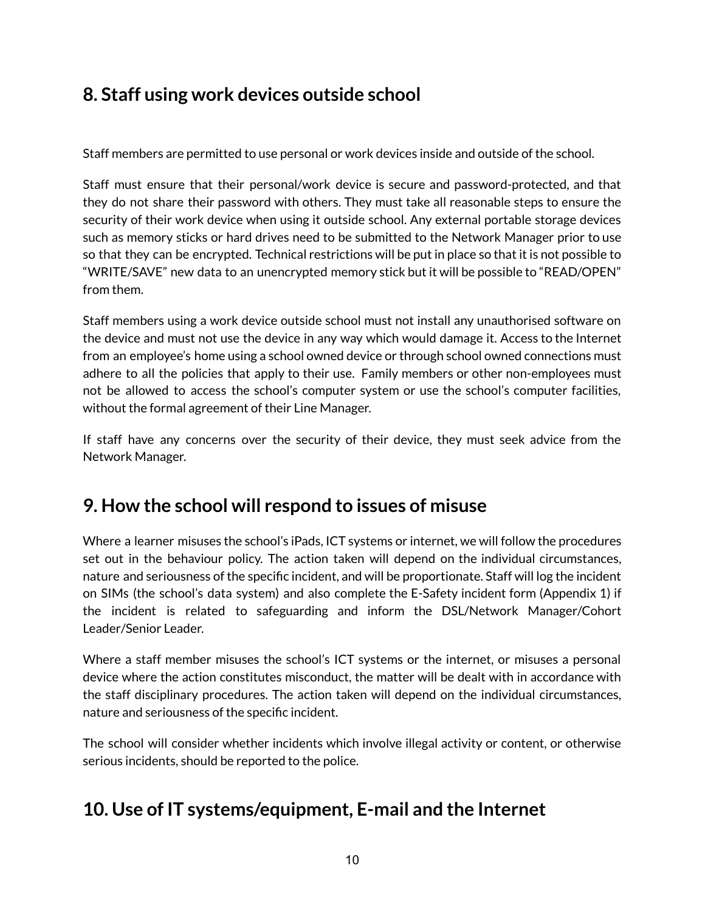## **8. Staff using work devices outside school**

Staff members are permitted to use personal or work devices inside and outside of the school.

Staff must ensure that their personal/work device is secure and password-protected, and that they do not share their password with others. They must take all reasonable steps to ensure the security of their work device when using it outside school. Any external portable storage devices such as memory sticks or hard drives need to be submitted to the Network Manager prior to use so that they can be encrypted. Technical restrictions will be put in place so that it is not possible to "WRITE/SAVE" new data to an unencrypted memory stick but it will be possible to "READ/OPEN" from them.

Staff members using a work device outside school must not install any unauthorised software on the device and must not use the device in any way which would damage it. Access to the Internet from an employee's home using a school owned device or through school owned connections must adhere to all the policies that apply to their use. Family members or other non-employees must not be allowed to access the school's computer system or use the school's computer facilities, without the formal agreement of their Line Manager.

If staff have any concerns over the security of their device, they must seek advice from the Network Manager.

## **9. How the school will respond to issues of misuse**

Where a learner misuses the school's iPads, ICT systems or internet, we will follow the procedures set out in the behaviour policy. The action taken will depend on the individual circumstances, nature and seriousness of the specific incident, and will be proportionate. Staff will log the incident on SIMs (the school's data system) and also complete the E-Safety incident form (Appendix 1) if the incident is related to safeguarding and inform the DSL/Network Manager/Cohort Leader/Senior Leader.

Where a staff member misuses the school's ICT systems or the internet, or misuses a personal device where the action constitutes misconduct, the matter will be dealt with in accordance with the staff disciplinary procedures. The action taken will depend on the individual circumstances, nature and seriousness of the specific incident.

The school will consider whether incidents which involve illegal activity or content, or otherwise serious incidents, should be reported to the police.

## **10. Use of IT systems/equipment, E-mail and the Internet**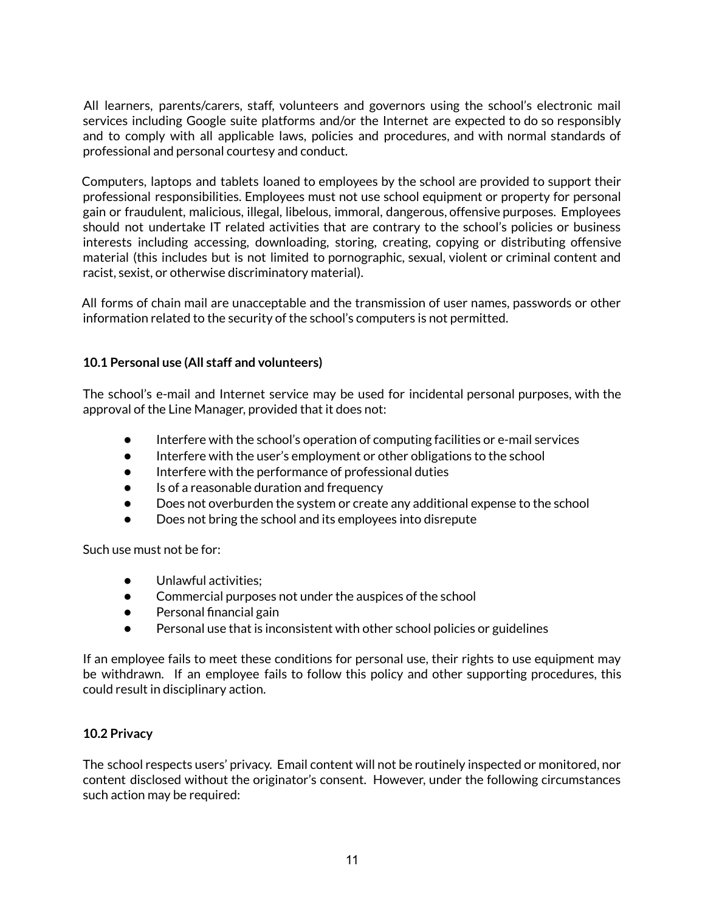All learners, parents/carers, staff, volunteers and governors using the school's electronic mail services including Google suite platforms and/or the Internet are expected to do so responsibly and to comply with all applicable laws, policies and procedures, and with normal standards of professional and personal courtesy and conduct.

Computers, laptops and tablets loaned to employees by the school are provided to support their professional responsibilities. Employees must not use school equipment or property for personal gain or fraudulent, malicious, illegal, libelous, immoral, dangerous, offensive purposes. Employees should not undertake IT related activities that are contrary to the school's policies or business interests including accessing, downloading, storing, creating, copying or distributing offensive material (this includes but is not limited to pornographic, sexual, violent or criminal content and racist, sexist, or otherwise discriminatory material).

All forms of chain mail are unacceptable and the transmission of user names, passwords or other information related to the security of the school's computers is not permitted.

#### **10.1 Personal use (All staff and volunteers)**

The school's e-mail and Internet service may be used for incidental personal purposes, with the approval of the Line Manager, provided that it does not:

- Interfere with the school's operation of computing facilities or e-mail services
- Interfere with the user's employment or other obligations to the school
- Interfere with the performance of professional duties
- Is of a reasonable duration and frequency
- Does not overburden the system or create any additional expense to the school
- Does not bring the school and its employees into disrepute

Such use must not be for:

- Unlawful activities;
- Commercial purposes not under the auspices of the school
- Personal financial gain
- Personal use that is inconsistent with other school policies or guidelines

If an employee fails to meet these conditions for personal use, their rights to use equipment may be withdrawn. If an employee fails to follow this policy and other supporting procedures, this could result in disciplinary action.

#### **10.2 Privacy**

The school respects users' privacy. Email content will not be routinely inspected or monitored, nor content disclosed without the originator's consent. However, under the following circumstances such action may be required: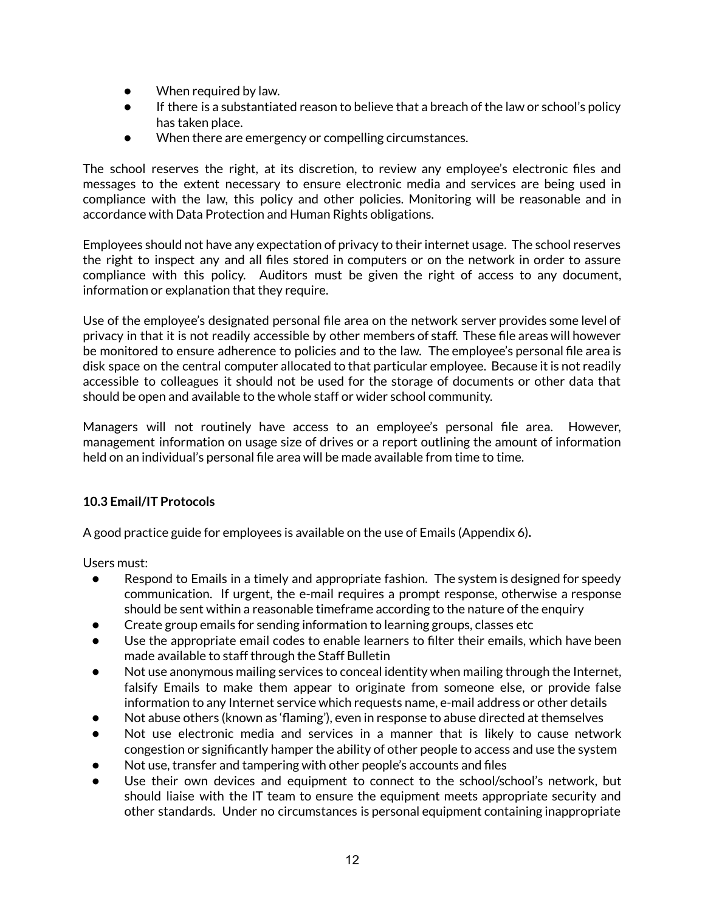- When required by law.
- If there is a substantiated reason to believe that a breach of the law or school's policy has taken place.
- When there are emergency or compelling circumstances.

The school reserves the right, at its discretion, to review any employee's electronic files and messages to the extent necessary to ensure electronic media and services are being used in compliance with the law, this policy and other policies. Monitoring will be reasonable and in accordance with Data Protection and Human Rights obligations.

Employees should not have any expectation of privacy to their internet usage. The school reserves the right to inspect any and all files stored in computers or on the network in order to assure compliance with this policy. Auditors must be given the right of access to any document, information or explanation that they require.

Use of the employee's designated personal file area on the network server provides some level of privacy in that it is not readily accessible by other members of staff. These file areas will however be monitored to ensure adherence to policies and to the law. The employee's personal file area is disk space on the central computer allocated to that particular employee. Because it is not readily accessible to colleagues it should not be used for the storage of documents or other data that should be open and available to the whole staff or wider school community.

Managers will not routinely have access to an employee's personal file area. However, management information on usage size of drives or a report outlining the amount of information held on an individual's personal file area will be made available from time to time.

#### **10.3 Email/IT Protocols**

A good practice guide for employees is available on the use of Emails (Appendix 6)**.**

Users must:

- Respond to Emails in a timely and appropriate fashion. The system is designed for speedy communication. If urgent, the e-mail requires a prompt response, otherwise a response should be sent within a reasonable timeframe according to the nature of the enquiry
- Create group emails for sending information to learning groups, classes etc
- Use the appropriate email codes to enable learners to filter their emails, which have been made available to staff through the Staff Bulletin
- Not use anonymous mailing services to conceal identity when mailing through the Internet, falsify Emails to make them appear to originate from someone else, or provide false information to any Internet service which requests name, e-mail address or other details
- Not abuse others (known as 'flaming'), even in response to abuse directed at themselves
- Not use electronic media and services in a manner that is likely to cause network congestion or significantly hamper the ability of other people to access and use the system
- Not use, transfer and tampering with other people's accounts and files
- Use their own devices and equipment to connect to the school/school's network, but should liaise with the IT team to ensure the equipment meets appropriate security and other standards. Under no circumstances is personal equipment containing inappropriate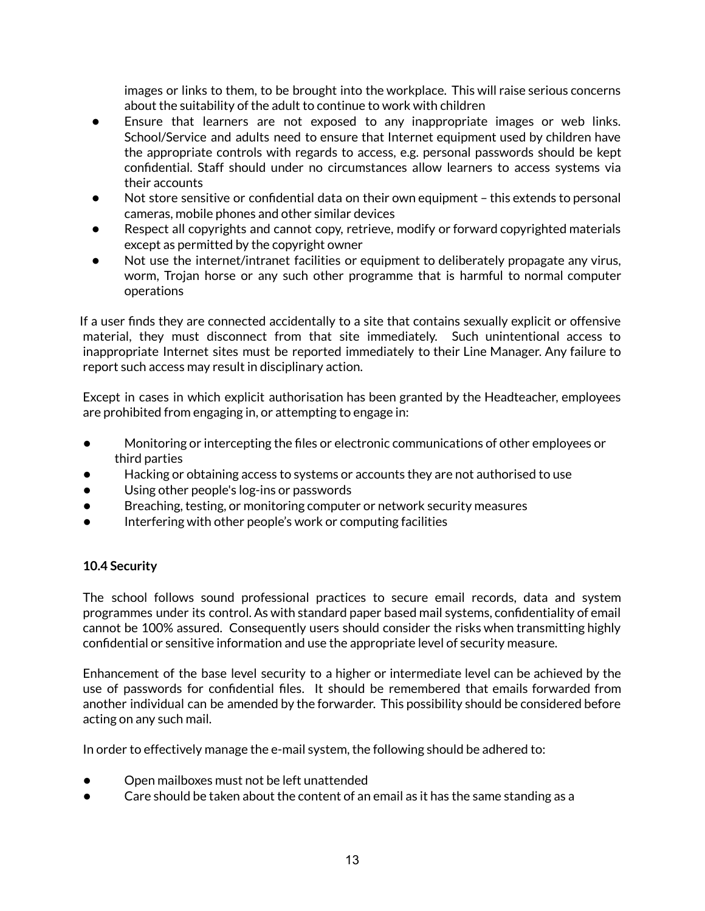images or links to them, to be brought into the workplace. This will raise serious concerns about the suitability of the adult to continue to work with children

- Ensure that learners are not exposed to any inappropriate images or web links. School/Service and adults need to ensure that Internet equipment used by children have the appropriate controls with regards to access, e.g. personal passwords should be kept confidential. Staff should under no circumstances allow learners to access systems via their accounts
- Not store sensitive or confidential data on their own equipment this extends to personal cameras, mobile phones and other similar devices
- Respect all copyrights and cannot copy, retrieve, modify or forward copyrighted materials except as permitted by the copyright owner
- Not use the internet/intranet facilities or equipment to deliberately propagate any virus, worm, Trojan horse or any such other programme that is harmful to normal computer operations

If a user finds they are connected accidentally to a site that contains sexually explicit or offensive material, they must disconnect from that site immediately. Such unintentional access to inappropriate Internet sites must be reported immediately to their Line Manager. Any failure to report such access may result in disciplinary action.

Except in cases in which explicit authorisation has been granted by the Headteacher, employees are prohibited from engaging in, or attempting to engage in:

- Monitoring or intercepting the files or electronic communications of other employees or third parties
- Hacking or obtaining access to systems or accounts they are not authorised to use
- Using other people's log-ins or passwords
- Breaching, testing, or monitoring computer or network security measures
- Interfering with other people's work or computing facilities

#### **10.4 Security**

The school follows sound professional practices to secure email records, data and system programmes under its control. As with standard paper based mail systems, confidentiality of email cannot be 100% assured. Consequently users should consider the risks when transmitting highly confidential or sensitive information and use the appropriate level of security measure.

Enhancement of the base level security to a higher or intermediate level can be achieved by the use of passwords for confidential files. It should be remembered that emails forwarded from another individual can be amended by the forwarder. This possibility should be considered before acting on any such mail.

In order to effectively manage the e-mail system, the following should be adhered to:

- Open mailboxes must not be left unattended
- Care should be taken about the content of an email as it has the same standing as a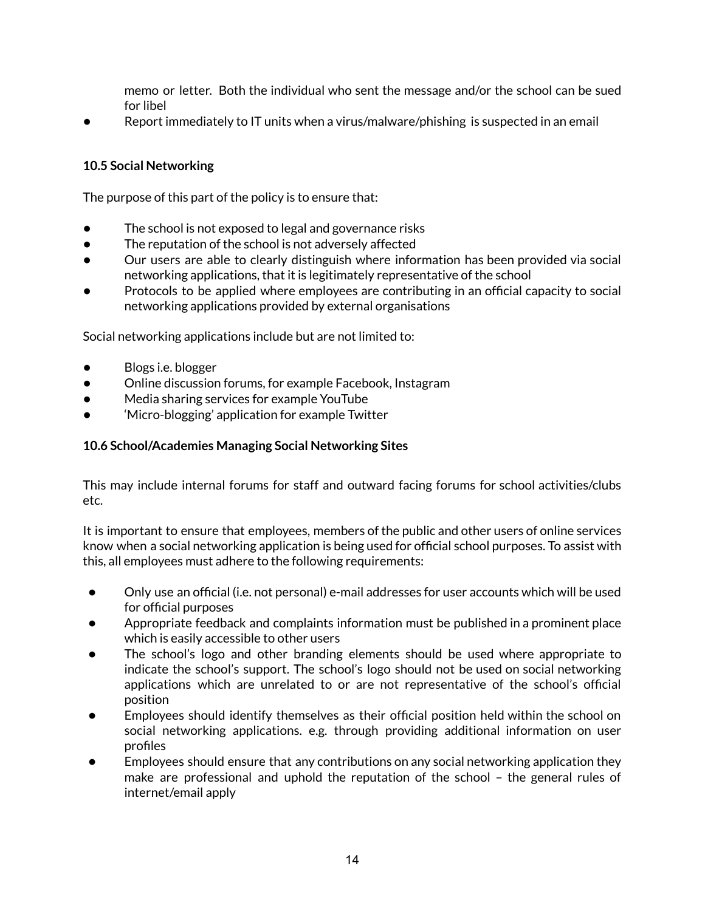memo or letter. Both the individual who sent the message and/or the school can be sued for libel

Report immediately to IT units when a virus/malware/phishing is suspected in an email

#### **10.5 Social Networking**

The purpose of this part of the policy is to ensure that:

- The school is not exposed to legal and governance risks
- The reputation of the school is not adversely affected
- Our users are able to clearly distinguish where information has been provided via social networking applications, that it is legitimately representative of the school
- Protocols to be applied where employees are contributing in an official capacity to social networking applications provided by external organisations

Social networking applications include but are not limited to:

- Blogs i.e. blogger
- Online discussion forums, for example Facebook, Instagram
- Media sharing services for example YouTube
- 'Micro-blogging' application for example Twitter

#### **10.6 School/Academies Managing Social Networking Sites**

This may include internal forums for staff and outward facing forums for school activities/clubs etc.

It is important to ensure that employees, members of the public and other users of online services know when a social networking application is being used for official school purposes. To assist with this, all employees must adhere to the following requirements:

- Only use an official (i.e. not personal) e-mail addresses for user accounts which will be used for official purposes
- Appropriate feedback and complaints information must be published in a prominent place which is easily accessible to other users
- The school's logo and other branding elements should be used where appropriate to indicate the school's support. The school's logo should not be used on social networking applications which are unrelated to or are not representative of the school's official position
- Employees should identify themselves as their official position held within the school on social networking applications. e.g. through providing additional information on user profiles
- Employees should ensure that any contributions on any social networking application they make are professional and uphold the reputation of the school – the general rules of internet/email apply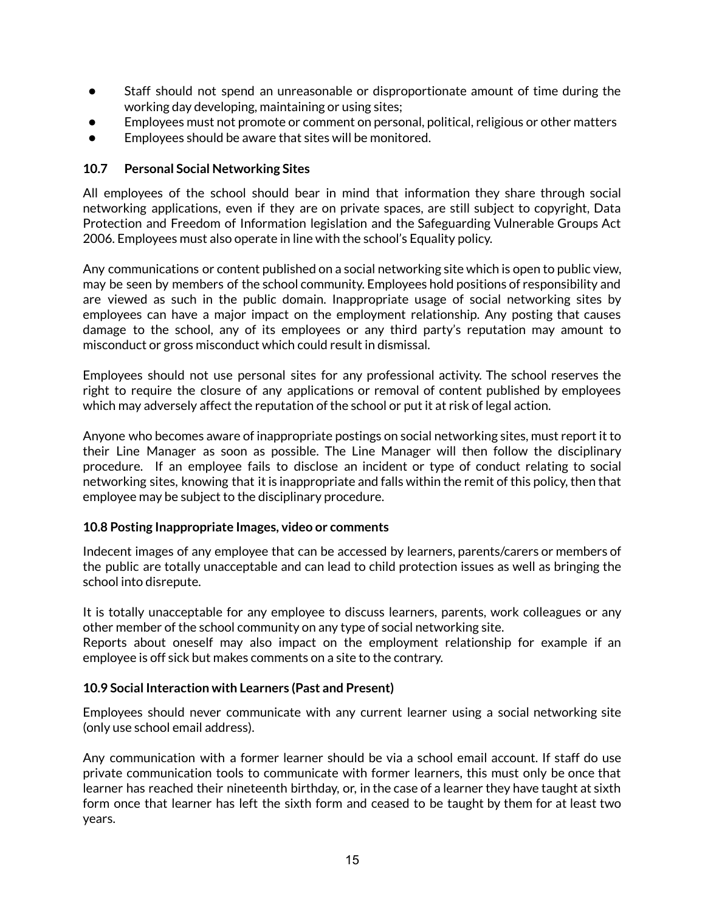- Staff should not spend an unreasonable or disproportionate amount of time during the working day developing, maintaining or using sites;
- Employees must not promote or comment on personal, political, religious or other matters
- Employees should be aware that sites will be monitored.

#### **10.7 Personal Social Networking Sites**

All employees of the school should bear in mind that information they share through social networking applications, even if they are on private spaces, are still subject to copyright, Data Protection and Freedom of Information legislation and the Safeguarding Vulnerable Groups Act 2006. Employees must also operate in line with the school's Equality policy.

Any communications or content published on a social networking site which is open to public view, may be seen by members of the school community. Employees hold positions of responsibility and are viewed as such in the public domain. Inappropriate usage of social networking sites by employees can have a major impact on the employment relationship. Any posting that causes damage to the school, any of its employees or any third party's reputation may amount to misconduct or gross misconduct which could result in dismissal.

Employees should not use personal sites for any professional activity. The school reserves the right to require the closure of any applications or removal of content published by employees which may adversely affect the reputation of the school or put it at risk of legal action.

Anyone who becomes aware of inappropriate postings on social networking sites, must report it to their Line Manager as soon as possible. The Line Manager will then follow the disciplinary procedure. If an employee fails to disclose an incident or type of conduct relating to social networking sites, knowing that it is inappropriate and falls within the remit of this policy, then that employee may be subject to the disciplinary procedure.

#### **10.8 Posting Inappropriate Images, video or comments**

Indecent images of any employee that can be accessed by learners, parents/carers or members of the public are totally unacceptable and can lead to child protection issues as well as bringing the school into disrepute.

It is totally unacceptable for any employee to discuss learners, parents, work colleagues or any other member of the school community on any type of social networking site.

Reports about oneself may also impact on the employment relationship for example if an employee is off sick but makes comments on a site to the contrary.

#### **10.9 Social Interaction with Learners (Past and Present)**

Employees should never communicate with any current learner using a social networking site (only use school email address).

Any communication with a former learner should be via a school email account. If staff do use private communication tools to communicate with former learners, this must only be once that learner has reached their nineteenth birthday, or, in the case of a learner they have taught at sixth form once that learner has left the sixth form and ceased to be taught by them for at least two years.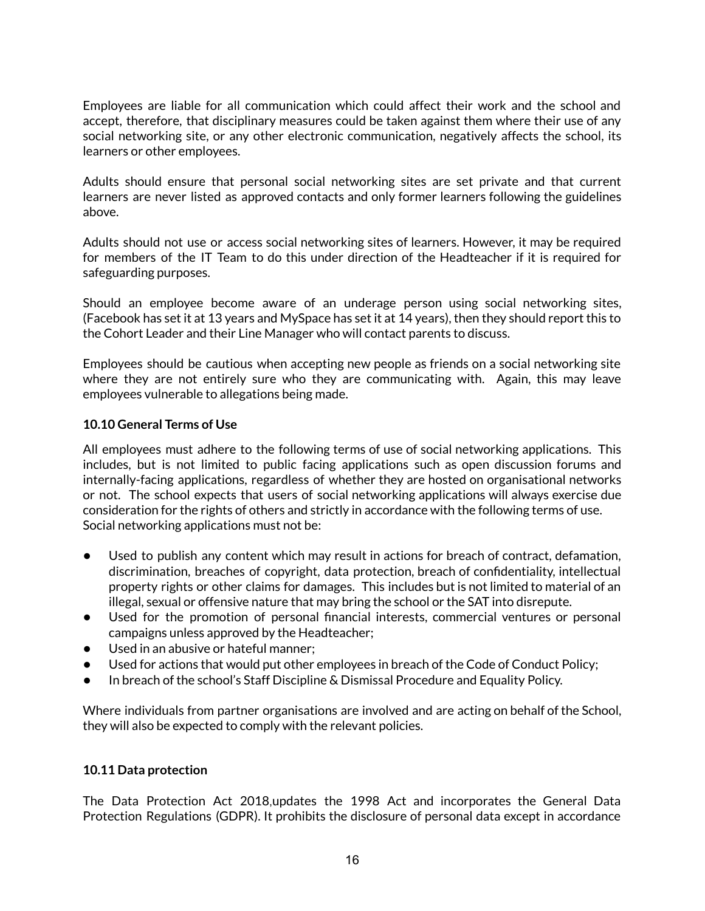Employees are liable for all communication which could affect their work and the school and accept, therefore, that disciplinary measures could be taken against them where their use of any social networking site, or any other electronic communication, negatively affects the school, its learners or other employees.

Adults should ensure that personal social networking sites are set private and that current learners are never listed as approved contacts and only former learners following the guidelines above.

Adults should not use or access social networking sites of learners. However, it may be required for members of the IT Team to do this under direction of the Headteacher if it is required for safeguarding purposes.

Should an employee become aware of an underage person using social networking sites, (Facebook has set it at 13 years and MySpace has set it at 14 years), then they should report this to the Cohort Leader and their Line Manager who will contact parents to discuss.

Employees should be cautious when accepting new people as friends on a social networking site where they are not entirely sure who they are communicating with. Again, this may leave employees vulnerable to allegations being made.

#### **10.10 General Terms of Use**

All employees must adhere to the following terms of use of social networking applications. This includes, but is not limited to public facing applications such as open discussion forums and internally-facing applications, regardless of whether they are hosted on organisational networks or not. The school expects that users of social networking applications will always exercise due consideration for the rights of others and strictly in accordance with the following terms of use. Social networking applications must not be:

- Used to publish any content which may result in actions for breach of contract, defamation, discrimination, breaches of copyright, data protection, breach of confidentiality, intellectual property rights or other claims for damages. This includes but is not limited to material of an illegal, sexual or offensive nature that may bring the school or the SAT into disrepute.
- Used for the promotion of personal financial interests, commercial ventures or personal campaigns unless approved by the Headteacher;
- Used in an abusive or hateful manner:
- Used for actions that would put other employees in breach of the Code of Conduct Policy;
- In breach of the school's Staff Discipline  $\&$  Dismissal Procedure and Equality Policy.

Where individuals from partner organisations are involved and are acting on behalf of the School, they will also be expected to comply with the relevant policies.

#### **10.11 Data protection**

The Data Protection Act 2018,updates the 1998 Act and incorporates the General Data Protection Regulations (GDPR). It prohibits the disclosure of personal data except in accordance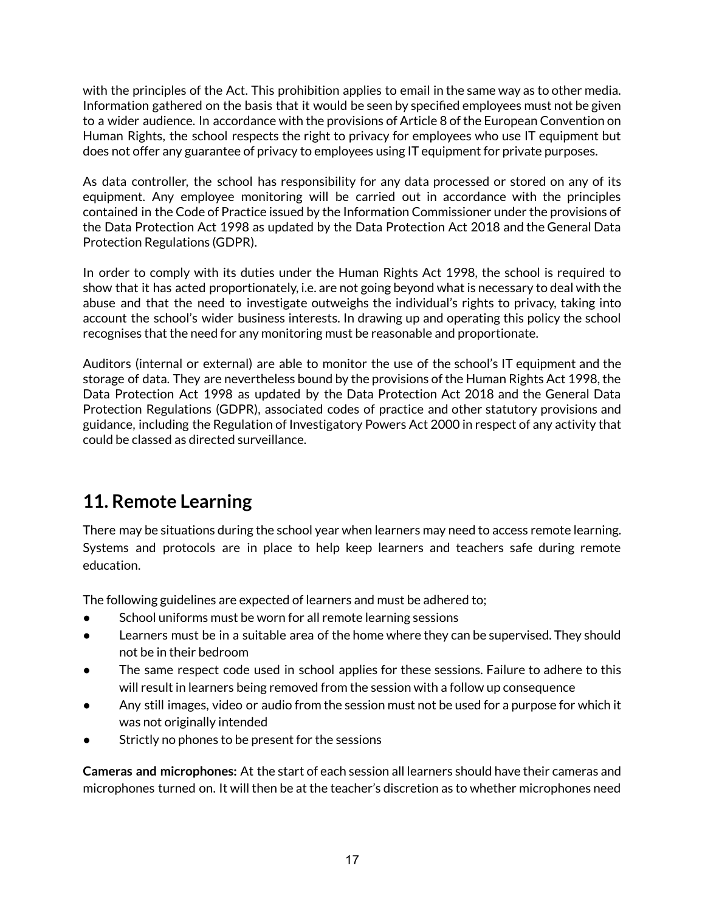with the principles of the Act. This prohibition applies to email in the same way as to other media. Information gathered on the basis that it would be seen by specified employees must not be given to a wider audience. In accordance with the provisions of Article 8 of the European Convention on Human Rights, the school respects the right to privacy for employees who use IT equipment but does not offer any guarantee of privacy to employees using IT equipment for private purposes.

As data controller, the school has responsibility for any data processed or stored on any of its equipment. Any employee monitoring will be carried out in accordance with the principles contained in the Code of Practice issued by the Information Commissioner under the provisions of the Data Protection Act 1998 as updated by the Data Protection Act 2018 and the General Data Protection Regulations (GDPR).

In order to comply with its duties under the Human Rights Act 1998, the school is required to show that it has acted proportionately, i.e. are not going beyond what is necessary to deal with the abuse and that the need to investigate outweighs the individual's rights to privacy, taking into account the school's wider business interests. In drawing up and operating this policy the school recognises that the need for any monitoring must be reasonable and proportionate.

Auditors (internal or external) are able to monitor the use of the school's IT equipment and the storage of data. They are nevertheless bound by the provisions of the Human Rights Act 1998, the Data Protection Act 1998 as updated by the Data Protection Act 2018 and the General Data Protection Regulations (GDPR), associated codes of practice and other statutory provisions and guidance, including the Regulation of Investigatory Powers Act 2000 in respect of any activity that could be classed as directed surveillance.

## **11. Remote Learning**

There may be situations during the school year when learners may need to access remote learning. Systems and protocols are in place to help keep learners and teachers safe during remote education.

The following guidelines are expected of learners and must be adhered to;

- School uniforms must be worn for all remote learning sessions
- Learners must be in a suitable area of the home where they can be supervised. They should not be in their bedroom
- The same respect code used in school applies for these sessions. Failure to adhere to this will result in learners being removed from the session with a follow up consequence
- Any still images, video or audio from the session must not be used for a purpose for which it was not originally intended
- Strictly no phones to be present for the sessions

**Cameras and microphones:** At the start of each session all learners should have their cameras and microphones turned on. It will then be at the teacher's discretion as to whether microphones need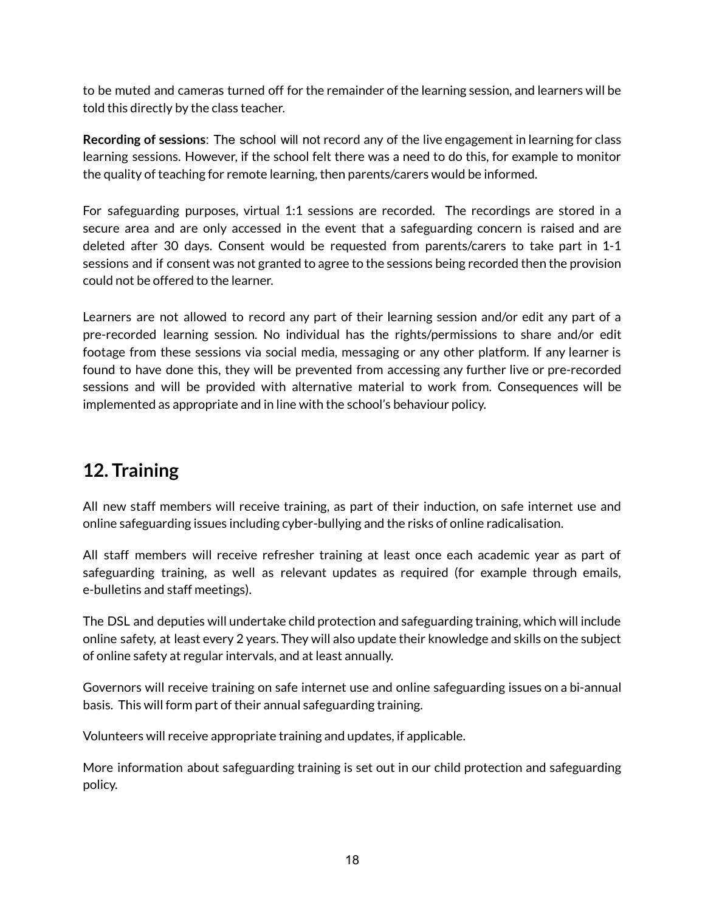to be muted and cameras turned off for the remainder of the learning session, and learners will be told this directly by the class teacher.

**Recording of sessions**: The school will not record any of the live engagement in learning for class learning sessions. However, if the school felt there was a need to do this, for example to monitor the quality of teaching for remote learning, then parents/carers would be informed.

For safeguarding purposes, virtual 1:1 sessions are recorded. The recordings are stored in a secure area and are only accessed in the event that a safeguarding concern is raised and are deleted after 30 days. Consent would be requested from parents/carers to take part in 1-1 sessions and if consent was not granted to agree to the sessions being recorded then the provision could not be offered to the learner.

Learners are not allowed to record any part of their learning session and/or edit any part of a pre-recorded learning session. No individual has the rights/permissions to share and/or edit footage from these sessions via social media, messaging or any other platform. If any learner is found to have done this, they will be prevented from accessing any further live or pre-recorded sessions and will be provided with alternative material to work from. Consequences will be implemented as appropriate and in line with the school's behaviour policy.

## **12. Training**

All new staff members will receive training, as part of their induction, on safe internet use and online safeguarding issues including cyber-bullying and the risks of online radicalisation.

All staff members will receive refresher training at least once each academic year as part of safeguarding training, as well as relevant updates as required (for example through emails, e-bulletins and staff meetings).

The DSL and deputies will undertake child protection and safeguarding training, which will include online safety, at least every 2 years. They will also update their knowledge and skills on the subject of online safety at regular intervals, and at least annually.

Governors will receive training on safe internet use and online safeguarding issues on a bi-annual basis. This will form part of their annual safeguarding training.

Volunteers will receive appropriate training and updates, if applicable.

More information about safeguarding training is set out in our child protection and safeguarding policy.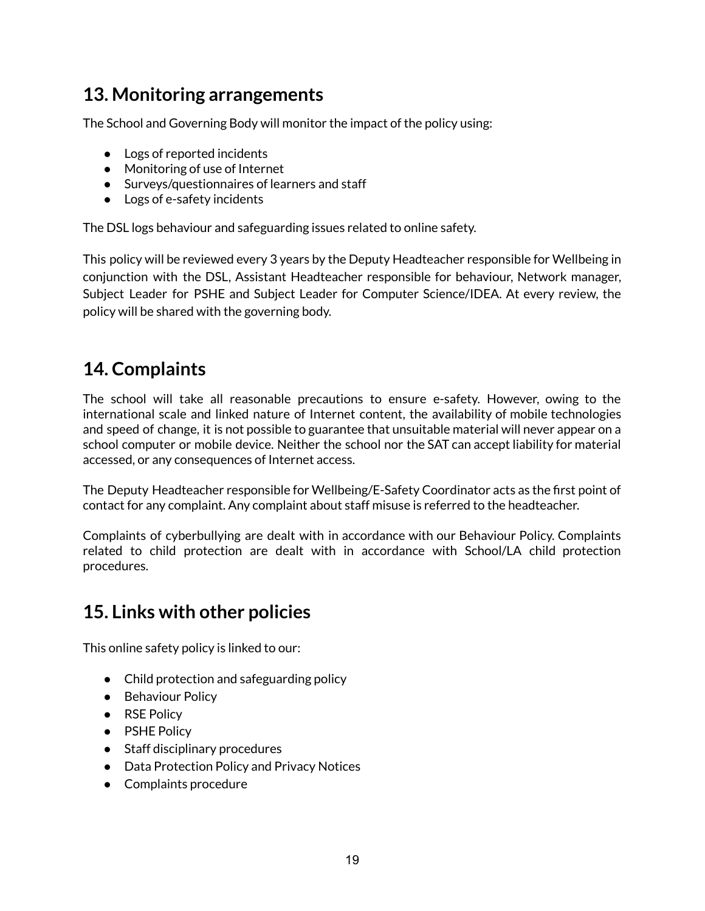## **13. Monitoring arrangements**

The School and Governing Body will monitor the impact of the policy using:

- Logs of reported incidents
- Monitoring of use of Internet
- Surveys/questionnaires of learners and staff
- Logs of e-safety incidents

The DSL logs behaviour and safeguarding issues related to online safety.

This policy will be reviewed every 3 years by the Deputy Headteacher responsible for Wellbeing in conjunction with the DSL, Assistant Headteacher responsible for behaviour, Network manager, Subject Leader for PSHE and Subject Leader for Computer Science/IDEA. At every review, the policy will be shared with the governing body.

## **14. Complaints**

The school will take all reasonable precautions to ensure e-safety. However, owing to the international scale and linked nature of Internet content, the availability of mobile technologies and speed of change, it is not possible to guarantee that unsuitable material will never appear on a school computer or mobile device. Neither the school nor the SAT can accept liability for material accessed, or any consequences of Internet access.

The Deputy Headteacher responsible for Wellbeing/E-Safety Coordinator acts as the first point of contact for any complaint. Any complaint about staff misuse is referred to the headteacher.

Complaints of cyberbullying are dealt with in accordance with our Behaviour Policy. Complaints related to child protection are dealt with in accordance with School/LA child protection procedures.

### **15. Links with other policies**

This online safety policy is linked to our:

- Child protection and safeguarding policy
- Behaviour Policy
- RSE Policy
- PSHE Policy
- Staff disciplinary procedures
- Data Protection Policy and Privacy Notices
- Complaints procedure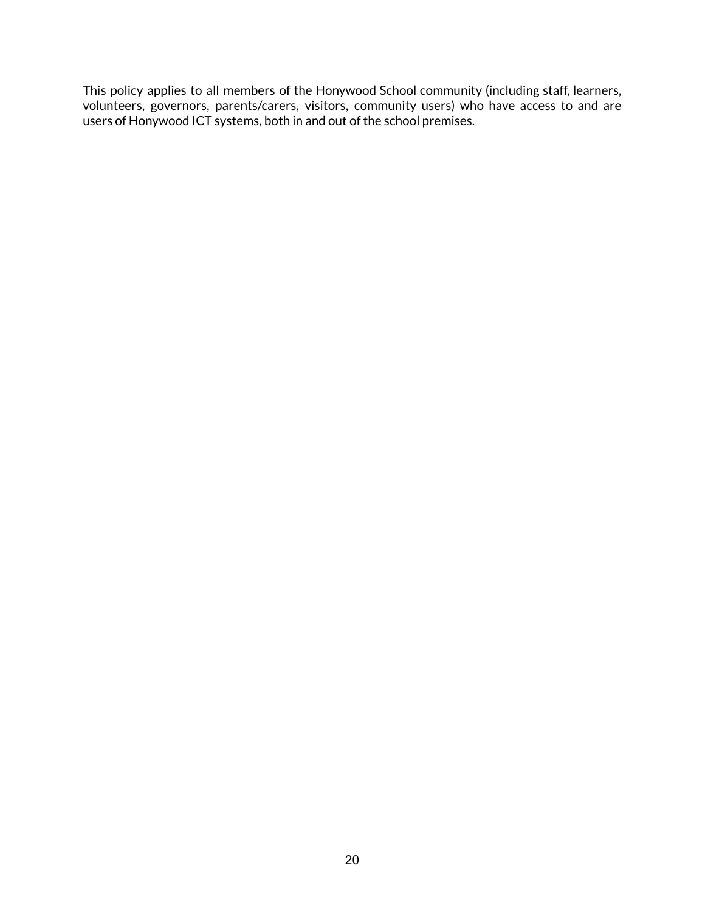This policy applies to all members of the Honywood School community (including staff, learners, volunteers, governors, parents/carers, visitors, community users) who have access to and are users of Honywood ICT systems, both in and out of the school premises.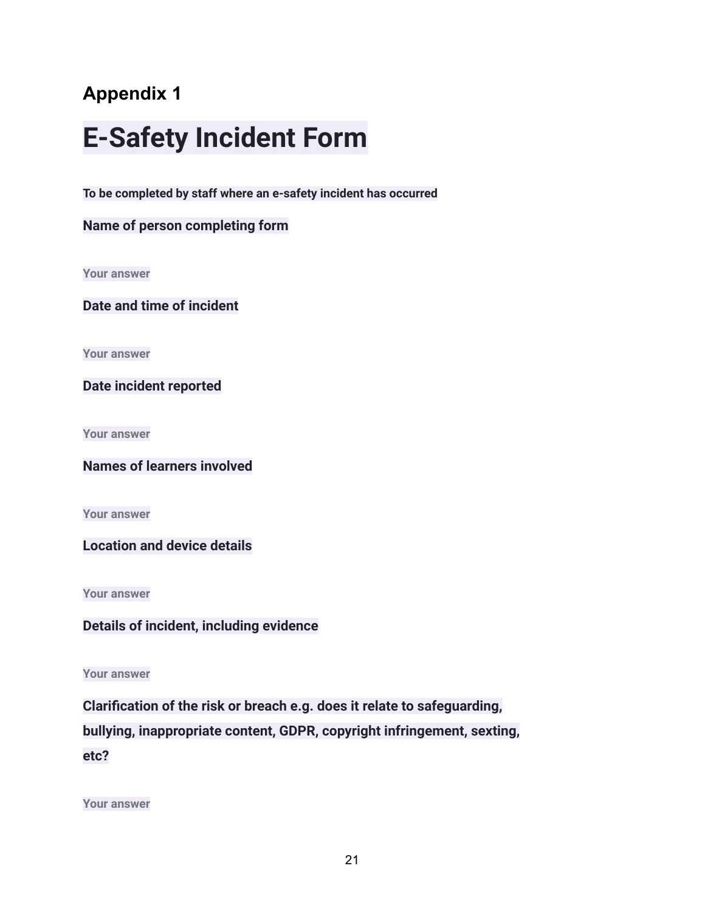## **E-Safety Incident Form**

**To be completed by staff where an e-safety incident has occurred**

#### **Name of person completing form**

**Your answer**

**Date and time of incident**

**Your answer**

**Date incident reported**

**Your answer**

**Names of learners involved**

**Your answer**

**Location and device details**

**Your answer**

**Details of incident, including evidence**

**Your answer**

**Clarification of the risk or breach e.g. does it relate to safeguarding, bullying, inappropriate content, GDPR, copyright infringement, sexting, etc?**

**Your answer**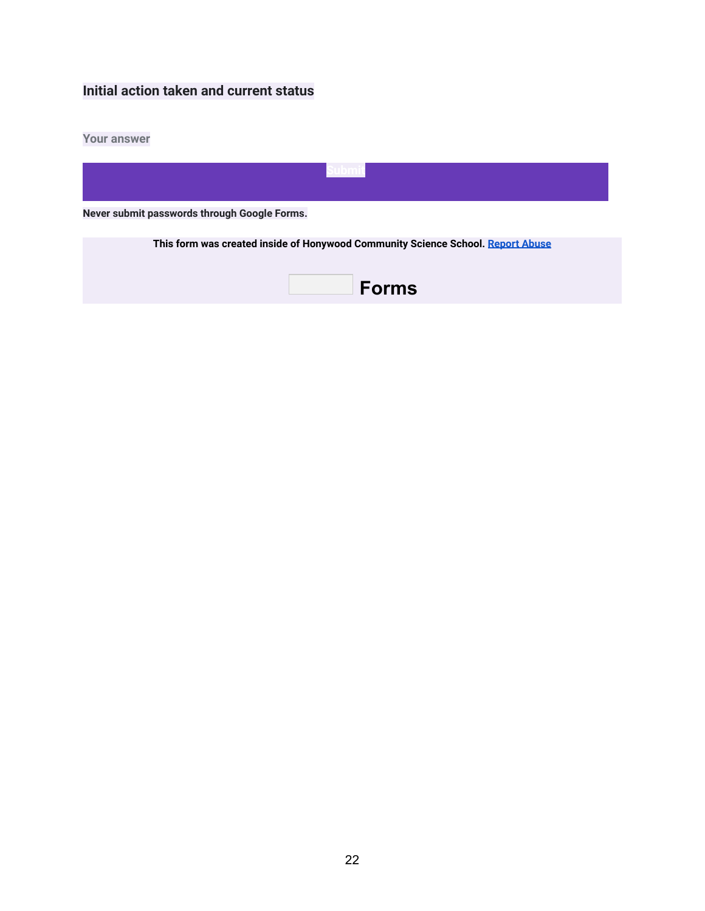### **Initial action taken and current status**

#### **Your answer**

| Never submit passwords through Google Forms.                                    |  |  |  |
|---------------------------------------------------------------------------------|--|--|--|
| This form was created inside of Honywood Community Science School. Report Abuse |  |  |  |

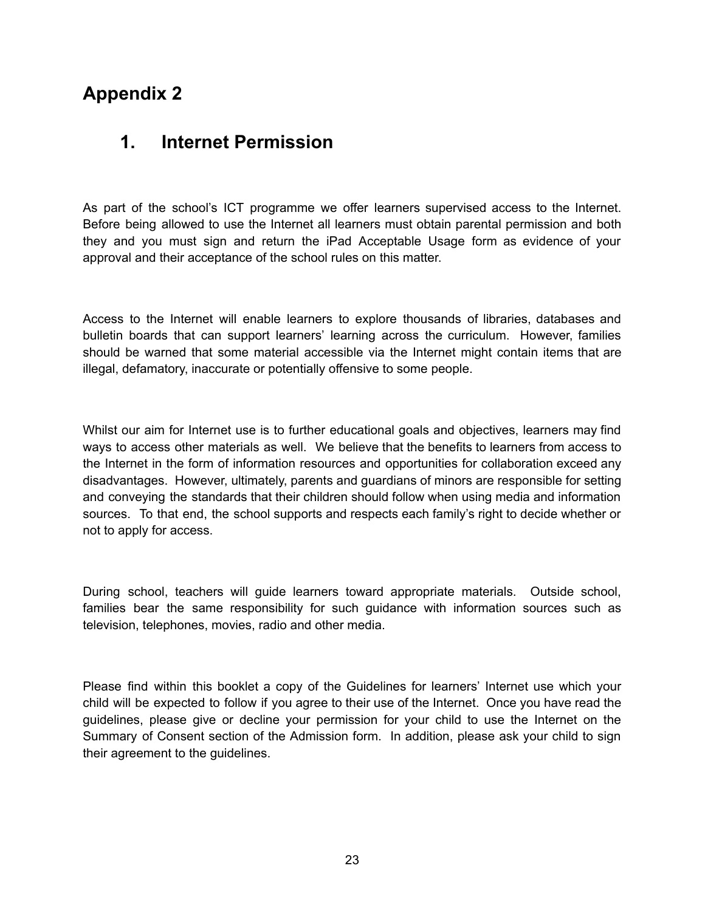## **1. Internet Permission**

As part of the school's ICT programme we offer learners supervised access to the Internet. Before being allowed to use the Internet all learners must obtain parental permission and both they and you must sign and return the iPad Acceptable Usage form as evidence of your approval and their acceptance of the school rules on this matter.

Access to the Internet will enable learners to explore thousands of libraries, databases and bulletin boards that can support learners' learning across the curriculum. However, families should be warned that some material accessible via the Internet might contain items that are illegal, defamatory, inaccurate or potentially offensive to some people.

Whilst our aim for Internet use is to further educational goals and objectives, learners may find ways to access other materials as well. We believe that the benefits to learners from access to the Internet in the form of information resources and opportunities for collaboration exceed any disadvantages. However, ultimately, parents and guardians of minors are responsible for setting and conveying the standards that their children should follow when using media and information sources. To that end, the school supports and respects each family's right to decide whether or not to apply for access.

During school, teachers will guide learners toward appropriate materials. Outside school, families bear the same responsibility for such guidance with information sources such as television, telephones, movies, radio and other media.

Please find within this booklet a copy of the Guidelines for learners' Internet use which your child will be expected to follow if you agree to their use of the Internet. Once you have read the guidelines, please give or decline your permission for your child to use the Internet on the Summary of Consent section of the Admission form. In addition, please ask your child to sign their agreement to the guidelines.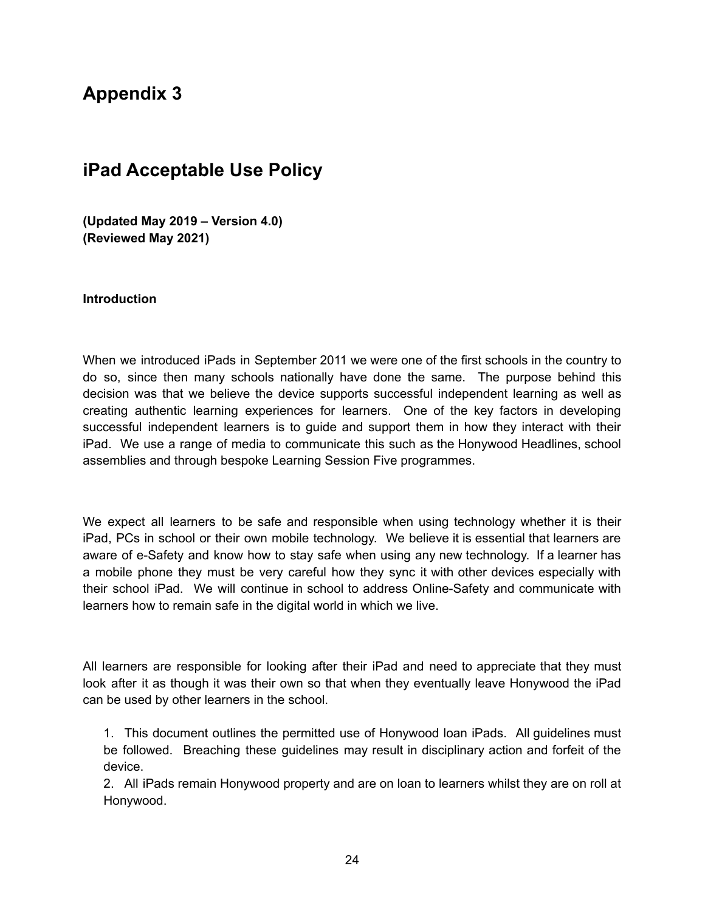## **iPad Acceptable Use Policy**

**(Updated May 2019 – Version 4.0) (Reviewed May 2021)**

#### **Introduction**

When we introduced iPads in September 2011 we were one of the first schools in the country to do so, since then many schools nationally have done the same. The purpose behind this decision was that we believe the device supports successful independent learning as well as creating authentic learning experiences for learners. One of the key factors in developing successful independent learners is to guide and support them in how they interact with their iPad. We use a range of media to communicate this such as the Honywood Headlines, school assemblies and through bespoke Learning Session Five programmes.

We expect all learners to be safe and responsible when using technology whether it is their iPad, PCs in school or their own mobile technology. We believe it is essential that learners are aware of e-Safety and know how to stay safe when using any new technology. If a learner has a mobile phone they must be very careful how they sync it with other devices especially with their school iPad. We will continue in school to address Online-Safety and communicate with learners how to remain safe in the digital world in which we live.

All learners are responsible for looking after their iPad and need to appreciate that they must look after it as though it was their own so that when they eventually leave Honywood the iPad can be used by other learners in the school.

1. This document outlines the permitted use of Honywood loan iPads. All guidelines must be followed. Breaching these guidelines may result in disciplinary action and forfeit of the device.

2. All iPads remain Honywood property and are on loan to learners whilst they are on roll at Honywood.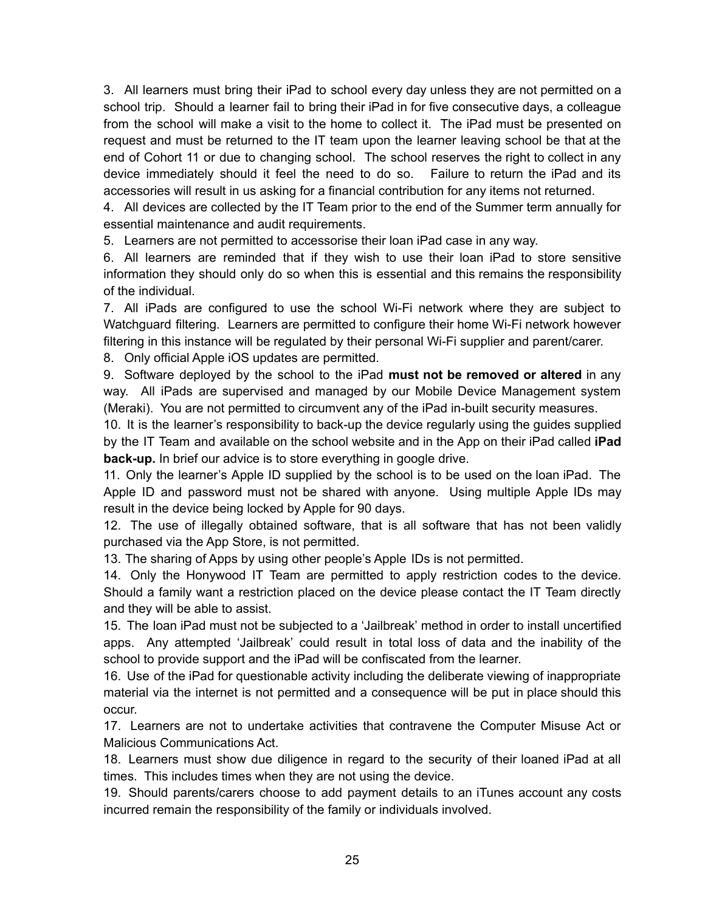3. All learners must bring their iPad to school every day unless they are not permitted on a school trip. Should a learner fail to bring their iPad in for five consecutive days, a colleague from the school will make a visit to the home to collect it. The iPad must be presented on request and must be returned to the IT team upon the learner leaving school be that at the end of Cohort 11 or due to changing school. The school reserves the right to collect in any device immediately should it feel the need to do so. Failure to return the iPad and its accessories will result in us asking for a financial contribution for any items not returned.

4. All devices are collected by the IT Team prior to the end of the Summer term annually for essential maintenance and audit requirements.

5. Learners are not permitted to accessorise their loan iPad case in any way.

6. All learners are reminded that if they wish to use their loan iPad to store sensitive information they should only do so when this is essential and this remains the responsibility of the individual.

7. All iPads are configured to use the school Wi-Fi network where they are subject to Watchguard filtering. Learners are permitted to configure their home Wi-Fi network however filtering in this instance will be regulated by their personal Wi-Fi supplier and parent/carer.

8. Only official Apple iOS updates are permitted.

9. Software deployed by the school to the iPad **must not be removed or altered** in any way. All iPads are supervised and managed by our Mobile Device Management system (Meraki). You are not permitted to circumvent any of the iPad in-built security measures.

10. It is the learner's responsibility to back-up the device regularly using the guides supplied by the IT Team and available on the school website and in the App on their iPad called **iPad back-up.** In brief our advice is to store everything in google drive.

11. Only the learner's Apple ID supplied by the school is to be used on the loan iPad. The Apple ID and password must not be shared with anyone. Using multiple Apple IDs may result in the device being locked by Apple for 90 days.

12. The use of illegally obtained software, that is all software that has not been validly purchased via the App Store, is not permitted.

13. The sharing of Apps by using other people's Apple IDs is not permitted.

14. Only the Honywood IT Team are permitted to apply restriction codes to the device. Should a family want a restriction placed on the device please contact the IT Team directly and they will be able to assist.

15. The loan iPad must not be subjected to a 'Jailbreak' method in order to install uncertified apps. Any attempted 'Jailbreak' could result in total loss of data and the inability of the school to provide support and the iPad will be confiscated from the learner.

16. Use of the iPad for questionable activity including the deliberate viewing of inappropriate material via the internet is not permitted and a consequence will be put in place should this occur.

17. Learners are not to undertake activities that contravene the Computer Misuse Act or Malicious Communications Act.

18. Learners must show due diligence in regard to the security of their loaned iPad at all times. This includes times when they are not using the device.

19. Should parents/carers choose to add payment details to an iTunes account any costs incurred remain the responsibility of the family or individuals involved.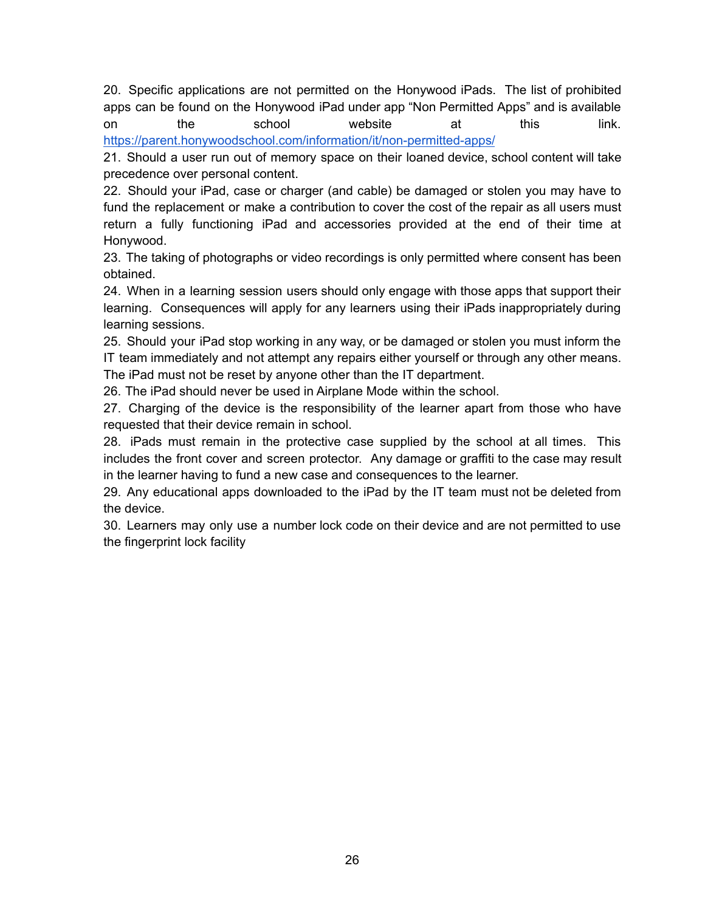20. Specific applications are not permitted on the Honywood iPads. The list of prohibited apps can be found on the Honywood iPad under app "Non Permitted Apps" and is available on the school website at this link[.](https://parent.honywoodschool.com/information/it/non-permitted-apps/) <https://parent.honywoodschool.com/information/it/non-permitted-apps/>

21. Should a user run out of memory space on their loaned device, school content will take precedence over personal content.

22. Should your iPad, case or charger (and cable) be damaged or stolen you may have to fund the replacement or make a contribution to cover the cost of the repair as all users must return a fully functioning iPad and accessories provided at the end of their time at Honywood.

23. The taking of photographs or video recordings is only permitted where consent has been obtained.

24. When in a learning session users should only engage with those apps that support their learning. Consequences will apply for any learners using their iPads inappropriately during learning sessions.

25. Should your iPad stop working in any way, or be damaged or stolen you must inform the IT team immediately and not attempt any repairs either yourself or through any other means. The iPad must not be reset by anyone other than the IT department.

26. The iPad should never be used in Airplane Mode within the school.

27. Charging of the device is the responsibility of the learner apart from those who have requested that their device remain in school.

28. iPads must remain in the protective case supplied by the school at all times. This includes the front cover and screen protector. Any damage or graffiti to the case may result in the learner having to fund a new case and consequences to the learner.

29. Any educational apps downloaded to the iPad by the IT team must not be deleted from the device.

30. Learners may only use a number lock code on their device and are not permitted to use the fingerprint lock facility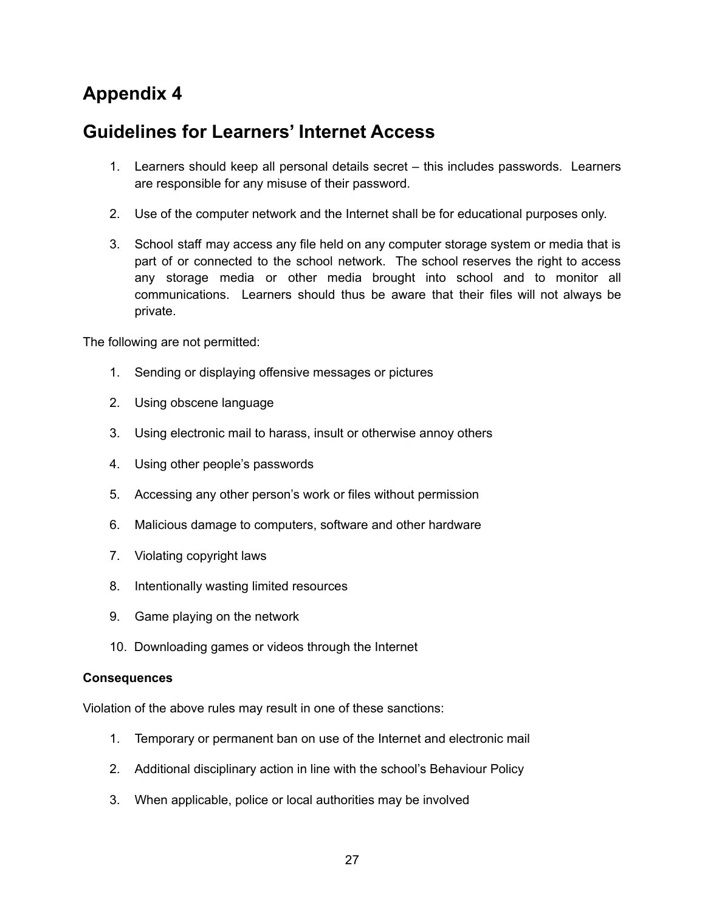## **Guidelines for Learners' Internet Access**

- 1. Learners should keep all personal details secret this includes passwords. Learners are responsible for any misuse of their password.
- 2. Use of the computer network and the Internet shall be for educational purposes only.
- 3. School staff may access any file held on any computer storage system or media that is part of or connected to the school network. The school reserves the right to access any storage media or other media brought into school and to monitor all communications. Learners should thus be aware that their files will not always be private.

The following are not permitted:

- 1. Sending or displaying offensive messages or pictures
- 2. Using obscene language
- 3. Using electronic mail to harass, insult or otherwise annoy others
- 4. Using other people's passwords
- 5. Accessing any other person's work or files without permission
- 6. Malicious damage to computers, software and other hardware
- 7. Violating copyright laws
- 8. Intentionally wasting limited resources
- 9. Game playing on the network
- 10. Downloading games or videos through the Internet

#### **Consequences**

Violation of the above rules may result in one of these sanctions:

- 1. Temporary or permanent ban on use of the Internet and electronic mail
- 2. Additional disciplinary action in line with the school's Behaviour Policy
- 3. When applicable, police or local authorities may be involved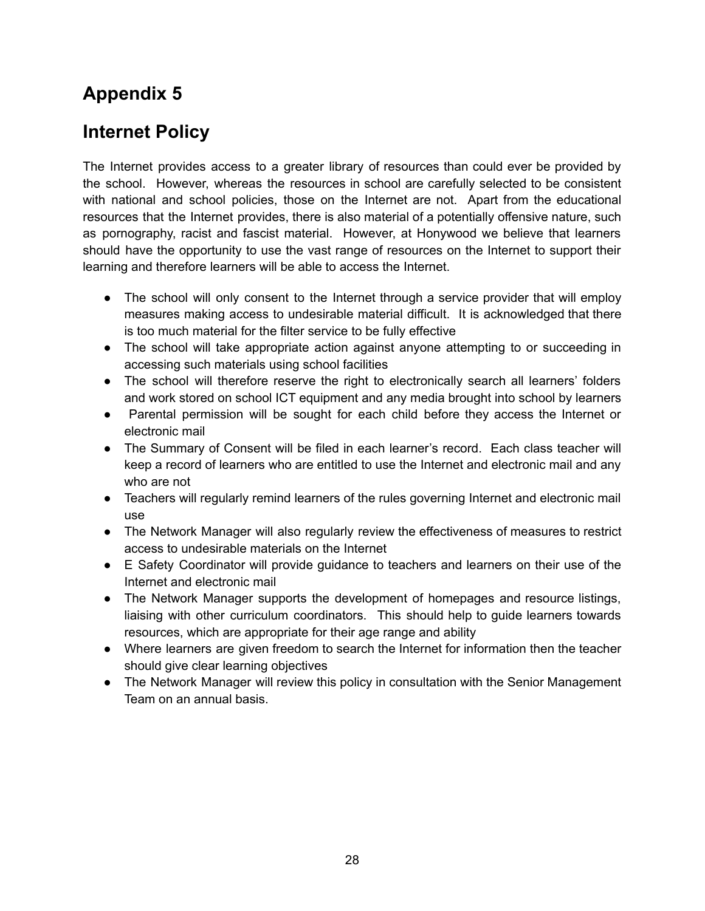## **Internet Policy**

The Internet provides access to a greater library of resources than could ever be provided by the school. However, whereas the resources in school are carefully selected to be consistent with national and school policies, those on the Internet are not. Apart from the educational resources that the Internet provides, there is also material of a potentially offensive nature, such as pornography, racist and fascist material. However, at Honywood we believe that learners should have the opportunity to use the vast range of resources on the Internet to support their learning and therefore learners will be able to access the Internet.

- The school will only consent to the Internet through a service provider that will employ measures making access to undesirable material difficult. It is acknowledged that there is too much material for the filter service to be fully effective
- The school will take appropriate action against anyone attempting to or succeeding in accessing such materials using school facilities
- The school will therefore reserve the right to electronically search all learners' folders and work stored on school ICT equipment and any media brought into school by learners
- Parental permission will be sought for each child before they access the Internet or electronic mail
- The Summary of Consent will be filed in each learner's record. Each class teacher will keep a record of learners who are entitled to use the Internet and electronic mail and any who are not
- Teachers will regularly remind learners of the rules governing Internet and electronic mail use
- The Network Manager will also regularly review the effectiveness of measures to restrict access to undesirable materials on the Internet
- E Safety Coordinator will provide quidance to teachers and learners on their use of the Internet and electronic mail
- The Network Manager supports the development of homepages and resource listings, liaising with other curriculum coordinators. This should help to guide learners towards resources, which are appropriate for their age range and ability
- Where learners are given freedom to search the Internet for information then the teacher should give clear learning objectives
- The Network Manager will review this policy in consultation with the Senior Management Team on an annual basis.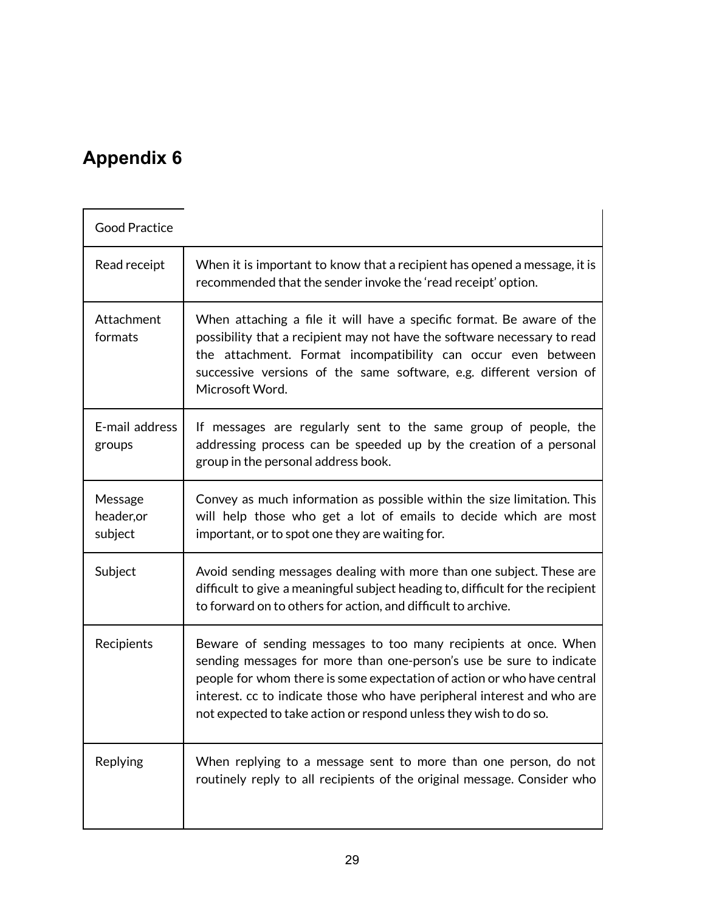$\overline{\Gamma}$ 

| <b>Good Practice</b>             |                                                                                                                                                                                                                                                                                                                                                                   |
|----------------------------------|-------------------------------------------------------------------------------------------------------------------------------------------------------------------------------------------------------------------------------------------------------------------------------------------------------------------------------------------------------------------|
| Read receipt                     | When it is important to know that a recipient has opened a message, it is<br>recommended that the sender invoke the 'read receipt' option.                                                                                                                                                                                                                        |
| Attachment<br>formats            | When attaching a file it will have a specific format. Be aware of the<br>possibility that a recipient may not have the software necessary to read<br>the attachment. Format incompatibility can occur even between<br>successive versions of the same software, e.g. different version of<br>Microsoft Word.                                                      |
| E-mail address<br>groups         | If messages are regularly sent to the same group of people, the<br>addressing process can be speeded up by the creation of a personal<br>group in the personal address book.                                                                                                                                                                                      |
| Message<br>header, or<br>subject | Convey as much information as possible within the size limitation. This<br>will help those who get a lot of emails to decide which are most<br>important, or to spot one they are waiting for.                                                                                                                                                                    |
| Subject                          | Avoid sending messages dealing with more than one subject. These are<br>difficult to give a meaningful subject heading to, difficult for the recipient<br>to forward on to others for action, and difficult to archive.                                                                                                                                           |
| Recipients                       | Beware of sending messages to too many recipients at once. When<br>sending messages for more than one-person's use be sure to indicate<br>people for whom there is some expectation of action or who have central<br>interest. cc to indicate those who have peripheral interest and who are<br>not expected to take action or respond unless they wish to do so. |
| Replying                         | When replying to a message sent to more than one person, do not<br>routinely reply to all recipients of the original message. Consider who                                                                                                                                                                                                                        |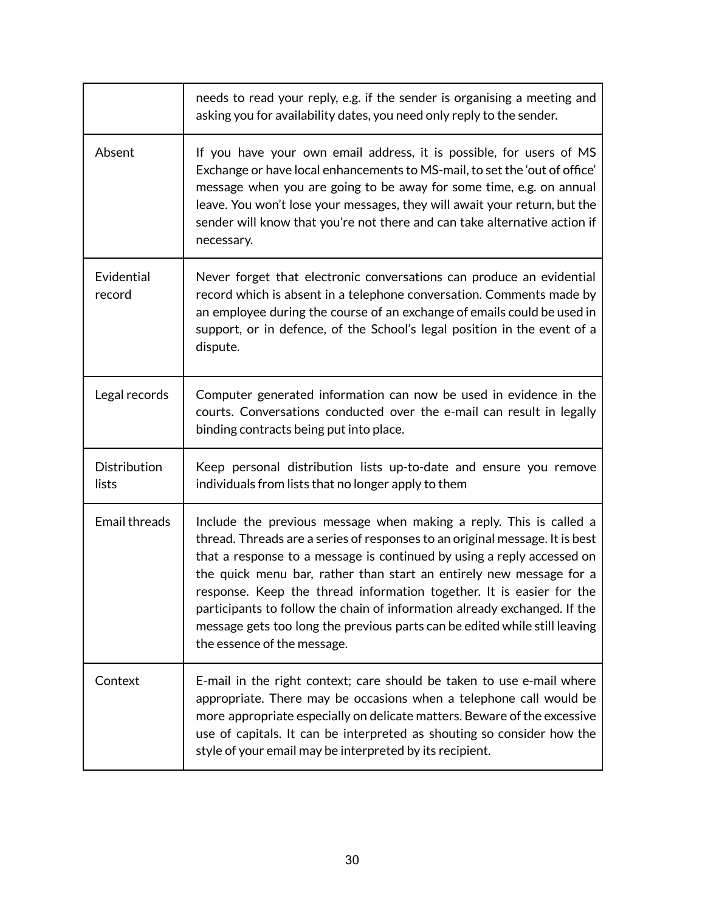|                       | needs to read your reply, e.g. if the sender is organising a meeting and<br>asking you for availability dates, you need only reply to the sender.                                                                                                                                                                                                                                                                                                                                                                                                                     |
|-----------------------|-----------------------------------------------------------------------------------------------------------------------------------------------------------------------------------------------------------------------------------------------------------------------------------------------------------------------------------------------------------------------------------------------------------------------------------------------------------------------------------------------------------------------------------------------------------------------|
| Absent                | If you have your own email address, it is possible, for users of MS<br>Exchange or have local enhancements to MS-mail, to set the 'out of office'<br>message when you are going to be away for some time, e.g. on annual<br>leave. You won't lose your messages, they will await your return, but the<br>sender will know that you're not there and can take alternative action if<br>necessary.                                                                                                                                                                      |
| Evidential<br>record  | Never forget that electronic conversations can produce an evidential<br>record which is absent in a telephone conversation. Comments made by<br>an employee during the course of an exchange of emails could be used in<br>support, or in defence, of the School's legal position in the event of a<br>dispute.                                                                                                                                                                                                                                                       |
| Legal records         | Computer generated information can now be used in evidence in the<br>courts. Conversations conducted over the e-mail can result in legally<br>binding contracts being put into place.                                                                                                                                                                                                                                                                                                                                                                                 |
| Distribution<br>lists | Keep personal distribution lists up-to-date and ensure you remove<br>individuals from lists that no longer apply to them                                                                                                                                                                                                                                                                                                                                                                                                                                              |
| <b>Email threads</b>  | Include the previous message when making a reply. This is called a<br>thread. Threads are a series of responses to an original message. It is best<br>that a response to a message is continued by using a reply accessed on<br>the quick menu bar, rather than start an entirely new message for a<br>response. Keep the thread information together. It is easier for the<br>participants to follow the chain of information already exchanged. If the<br>message gets too long the previous parts can be edited while still leaving<br>the essence of the message. |
| Context               | E-mail in the right context; care should be taken to use e-mail where<br>appropriate. There may be occasions when a telephone call would be<br>more appropriate especially on delicate matters. Beware of the excessive<br>use of capitals. It can be interpreted as shouting so consider how the<br>style of your email may be interpreted by its recipient.                                                                                                                                                                                                         |